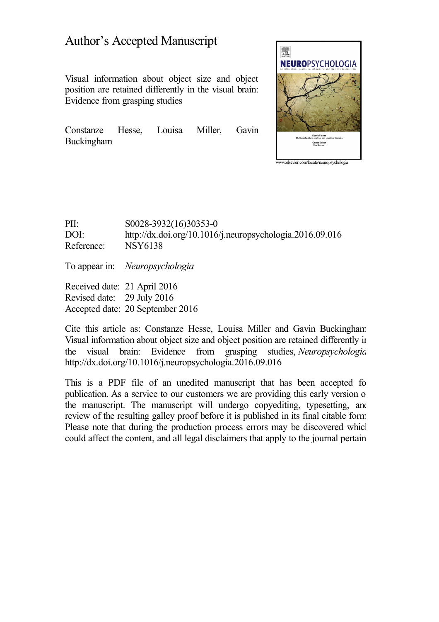# Author's Accepted Manuscript

Visual information about object size and object position are retained differently in the visual brain: Evidence from grasping studies

Constanze Hesse, Louisa Miller, Gavin Buckingham



PII: S0028-3932(16)30353-0 DOI: <http://dx.doi.org/10.1016/j.neuropsychologia.2016.09.016> Reference: NSY6138

To appear in: *Neuropsychologia*

Received date: 21 April 2016 Revised date: 29 July 2016 Accepted date: 20 September 2016

Cite this article as: Constanze Hesse, Louisa Miller and Gavin Buckingham, Visual information about object size and object position are retained differently in the visual brain: Evidence from grasping studies, *Neuropsychologia,* <http://dx.doi.org/10.1016/j.neuropsychologia.2016.09.016>

This is a PDF file of an unedited manuscript that has been accepted for publication. As a service to our customers we are providing this early version of the manuscript. The manuscript will undergo copyediting, typesetting, and review of the resulting galley proof before it is published in its final citable form. Please note that during the production process errors may be discovered which could affect the content, and all legal disclaimers that apply to the journal pertain.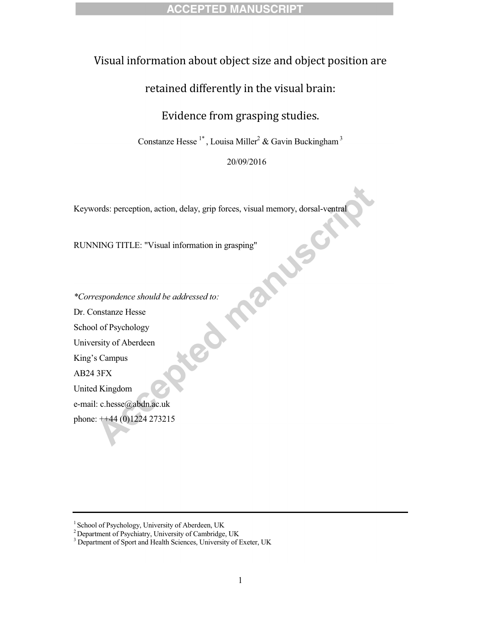# Visual information about object size and object position are

# retained differently in the visual brain:

# Evidence from grasping studies.

Constanze Hesse<sup>1\*</sup>, Louisa Miller<sup>2</sup> & Gavin Buckingham<sup>3</sup>

### 20/09/2016

RUNNING TITLE: "Visual information in grasping"

Keywords: perception, action, delay, grip forces, visual memory, dorsal-ventral<br>
RUNNING TITLE: "Visual information in grasping"<br>
\*Correspondence should be addrer<br>
Dr. Constanze Hesse<br>
School of r *\*Correspondence should be addressed to:*  Dr. Constanze Hesse ted School of Psychology University of Aberdeen King's Campus AB24 3FX United Kingdom e-mail: c.hesse@abdn.ac.uk phone: ++44 (0)1224 273215

<sup>&</sup>lt;sup>1</sup> School of Psychology, University of Aberdeen, UK

<sup>2</sup>Department of Psychiatry, University of Cambridge, UK

<sup>&</sup>lt;sup>3</sup> Department of Sport and Health Sciences, University of Exeter, UK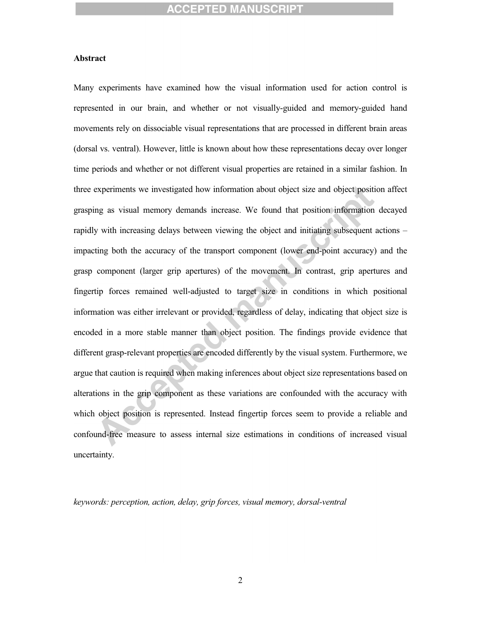#### **Abstract**

Many experiments have examined how the visual information used for action control is represented in our brain, and whether or not visually-guided and memory-guided hand movements rely on dissociable visual representations that are processed in different brain areas (dorsal vs. ventral). However, little is known about how these representations decay over longer time periods and whether or not different visual properties are retained in a similar fashion. In three experiments we investigated how information about object size and object position affect grasping as visual memory demands increase. We found that position information decayed rapidly with increasing delays between viewing the object and initiating subsequent actions – impacting both the accuracy of the transport component (lower end-point accuracy) and the grasp component (larger grip apertures) of the movement. In contrast, grip apertures and fingertip forces remained well-adjusted to target size in conditions in which positional information was either irrelevant or provided, regardless of delay, indicating that object size is encoded in a more stable manner than object position. The findings provide evidence that different grasp-relevant properties are encoded differently by the visual system. Furthermore, we argue that caution is required when making inferences about object size representations based on alterations in the grip component as these variations are confounded with the accuracy with which object position is represented. Instead fingertip forces seem to provide a reliable and confound-free measure to assess internal size estimations in conditions of increased visual uncertainty.

*keywords: perception, action, delay, grip forces, visual memory, dorsal-ventral* 

2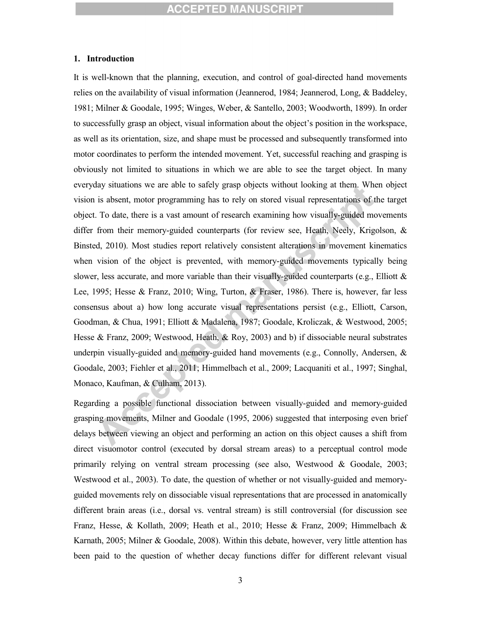#### **1. Introduction**

It is well-known that the planning, execution, and control of goal-directed hand movements relies on the availability of visual information (Jeannerod, 1984; Jeannerod, Long, & Baddeley, 1981; Milner & Goodale, 1995; Winges, Weber, & Santello, 2003; Woodworth, 1899). In order to successfully grasp an object, visual information about the object's position in the workspace, as well as its orientation, size, and shape must be processed and subsequently transformed into motor coordinates to perform the intended movement. Yet, successful reaching and grasping is obviously not limited to situations in which we are able to see the target object. In many everyday situations we are able to safely grasp objects without looking at them. When object vision is absent, motor programming has to rely on stored visual representations of the target object. To date, there is a vast amount of research examining how visually-guided movements differ from their memory-guided counterparts (for review see, Heath, Neely, Krigolson, & Binsted, 2010). Most studies report relatively consistent alterations in movement kinematics when vision of the object is prevented, with memory-guided movements typically being slower, less accurate, and more variable than their visually-guided counterparts (e.g., Elliott  $\&$ Lee, 1995; Hesse & Franz, 2010; Wing, Turton, & Fraser, 1986). There is, however, far less consensus about a) how long accurate visual representations persist (e.g., Elliott, Carson, Goodman, & Chua, 1991; Elliott & Madalena, 1987; Goodale, Kroliczak, & Westwood, 2005; Hesse & Franz, 2009; Westwood, Heath, & Roy, 2003) and b) if dissociable neural substrates underpin visually-guided and memory-guided hand movements (e.g., Connolly, Andersen,  $\&$ Goodale, 2003; Fiehler et al., 2011; Himmelbach et al., 2009; Lacquaniti et al., 1997; Singhal, Monaco, Kaufman, & Culham, 2013).

Regarding a possible functional dissociation between visually-guided and memory-guided grasping movements, Milner and Goodale (1995, 2006) suggested that interposing even brief delays between viewing an object and performing an action on this object causes a shift from direct visuomotor control (executed by dorsal stream areas) to a perceptual control mode primarily relying on ventral stream processing (see also, Westwood & Goodale, 2003; Westwood et al., 2003). To date, the question of whether or not visually-guided and memoryguided movements rely on dissociable visual representations that are processed in anatomically different brain areas (i.e., dorsal vs. ventral stream) is still controversial (for discussion see Franz, Hesse, & Kollath, 2009; Heath et al., 2010; Hesse & Franz, 2009; Himmelbach & Karnath, 2005; Milner & Goodale, 2008). Within this debate, however, very little attention has been paid to the question of whether decay functions differ for different relevant visual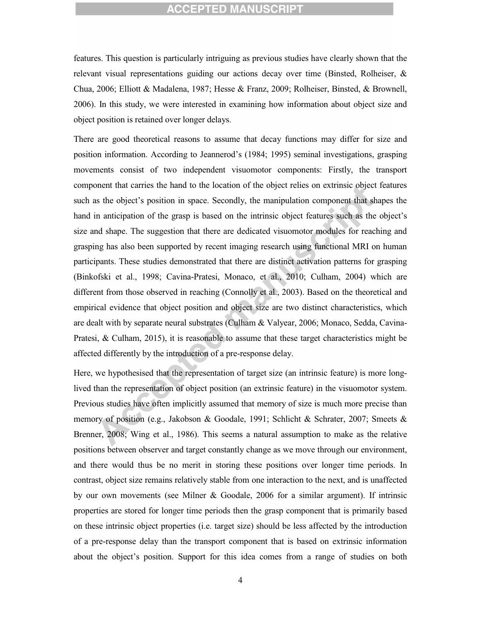features. This question is particularly intriguing as previous studies have clearly shown that the relevant visual representations guiding our actions decay over time (Binsted, Rolheiser, & Chua, 2006; Elliott & Madalena, 1987; Hesse & Franz, 2009; Rolheiser, Binsted, & Brownell, 2006). In this study, we were interested in examining how information about object size and object position is retained over longer delays.

There are good theoretical reasons to assume that decay functions may differ for size and position information. According to Jeannerod's (1984; 1995) seminal investigations, grasping movements consist of two independent visuomotor components: Firstly, the transport component that carries the hand to the location of the object relies on extrinsic object features such as the object's position in space. Secondly, the manipulation component that shapes the hand in anticipation of the grasp is based on the intrinsic object features such as the object's size and shape. The suggestion that there are dedicated visuomotor modules for reaching and grasping has also been supported by recent imaging research using functional MRI on human participants. These studies demonstrated that there are distinct activation patterns for grasping (Binkofski et al., 1998; Cavina-Pratesi, Monaco, et al., 2010; Culham, 2004) which are different from those observed in reaching (Connolly et al., 2003). Based on the theoretical and empirical evidence that object position and object size are two distinct characteristics, which are dealt with by separate neural substrates (Culham & Valyear, 2006; Monaco, Sedda, Cavina-Pratesi, & Culham, 2015), it is reasonable to assume that these target characteristics might be affected differently by the introduction of a pre-response delay.

Here, we hypothesised that the representation of target size (an intrinsic feature) is more longlived than the representation of object position (an extrinsic feature) in the visuomotor system. Previous studies have often implicitly assumed that memory of size is much more precise than memory of position (e.g., Jakobson & Goodale, 1991; Schlicht & Schrater, 2007; Smeets & Brenner, 2008; Wing et al., 1986). This seems a natural assumption to make as the relative positions between observer and target constantly change as we move through our environment, and there would thus be no merit in storing these positions over longer time periods. In contrast, object size remains relatively stable from one interaction to the next, and is unaffected by our own movements (see Milner & Goodale, 2006 for a similar argument). If intrinsic properties are stored for longer time periods then the grasp component that is primarily based on these intrinsic object properties (i.e. target size) should be less affected by the introduction of a pre-response delay than the transport component that is based on extrinsic information about the object's position. Support for this idea comes from a range of studies on both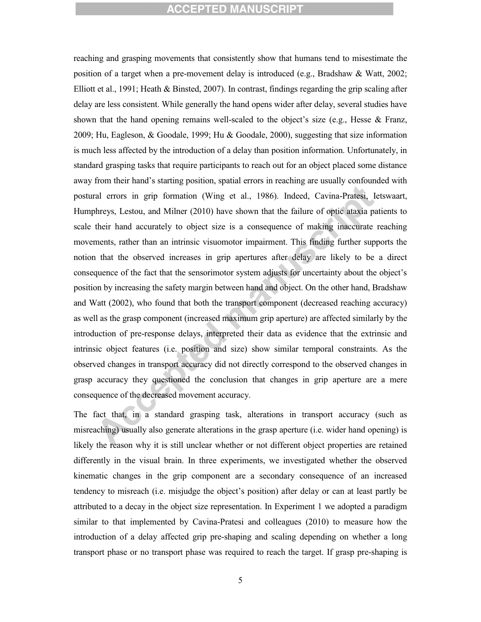reaching and grasping movements that consistently show that humans tend to misestimate the position of a target when a pre-movement delay is introduced (e.g., Bradshaw & Watt, 2002; Elliott et al., 1991; Heath & Binsted, 2007). In contrast, findings regarding the grip scaling after delay are less consistent. While generally the hand opens wider after delay, several studies have shown that the hand opening remains well-scaled to the object's size (e.g., Hesse & Franz, 2009; Hu, Eagleson, & Goodale, 1999; Hu & Goodale, 2000), suggesting that size information is much less affected by the introduction of a delay than position information. Unfortunately, in standard grasping tasks that require participants to reach out for an object placed some distance away from their hand's starting position, spatial errors in reaching are usually confounded with postural errors in grip formation (Wing et al., 1986). Indeed, Cavina-Pratesi, Ietswaart, Humphreys, Lestou, and Milner (2010) have shown that the failure of optic ataxia patients to scale their hand accurately to object size is a consequence of making inaccurate reaching movements, rather than an intrinsic visuomotor impairment. This finding further supports the notion that the observed increases in grip apertures after delay are likely to be a direct consequence of the fact that the sensorimotor system adjusts for uncertainty about the object's position by increasing the safety margin between hand and object. On the other hand, Bradshaw and Watt (2002), who found that both the transport component (decreased reaching accuracy) as well as the grasp component (increased maximum grip aperture) are affected similarly by the introduction of pre-response delays, interpreted their data as evidence that the extrinsic and intrinsic object features (i.e. position and size) show similar temporal constraints. As the observed changes in transport accuracy did not directly correspond to the observed changes in grasp accuracy they questioned the conclusion that changes in grip aperture are a mere consequence of the decreased movement accuracy.

The fact that, in a standard grasping task, alterations in transport accuracy (such as misreaching) usually also generate alterations in the grasp aperture (i.e. wider hand opening) is likely the reason why it is still unclear whether or not different object properties are retained differently in the visual brain. In three experiments, we investigated whether the observed kinematic changes in the grip component are a secondary consequence of an increased tendency to misreach (i.e. misjudge the object's position) after delay or can at least partly be attributed to a decay in the object size representation. In Experiment 1 we adopted a paradigm similar to that implemented by Cavina-Pratesi and colleagues (2010) to measure how the introduction of a delay affected grip pre-shaping and scaling depending on whether a long transport phase or no transport phase was required to reach the target. If grasp pre-shaping is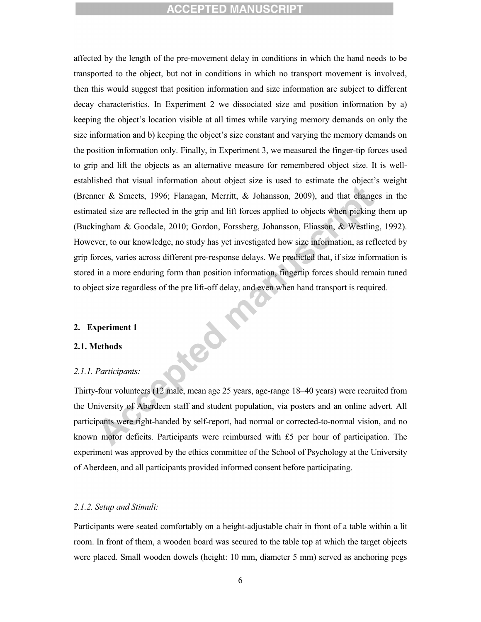affected by the length of the pre-movement delay in conditions in which the hand needs to be transported to the object, but not in conditions in which no transport movement is involved, then this would suggest that position information and size information are subject to different decay characteristics. In Experiment 2 we dissociated size and position information by a) keeping the object's location visible at all times while varying memory demands on only the size information and b) keeping the object's size constant and varying the memory demands on the position information only. Finally, in Experiment 3, we measured the finger-tip forces used to grip and lift the objects as an alternative measure for remembered object size. It is wellestablished that visual information about object size is used to estimate the object's weight (Brenner & Smeets, 1996; Flanagan, Merritt, & Johansson, 2009), and that changes in the estimated size are reflected in the grip and lift forces applied to objects when picking them up (Buckingham & Goodale, 2010; Gordon, Forssberg, Johansson, Eliasson, & Westling, 1992). However, to our knowledge, no study has yet investigated how size information, as reflected by grip forces, varies across different pre-response delays. We predicted that, if size information is stored in a more enduring form than position information, fingertip forces should remain tuned to object size regardless of the pre lift-off delay, and even when hand transport is required.

#### **2. Experiment 1**

#### **2.1. Methods**

#### *2.1.1. Participants:*

Thirty-four volunteers (12 male, mean age 25 years, age-range 18–40 years) were recruited from the University of Aberdeen staff and student population, via posters and an online advert. All participants were right-handed by self-report, had normal or corrected-to-normal vision, and no known motor deficits. Participants were reimbursed with £5 per hour of participation. The experiment was approved by the ethics committee of the School of Psychology at the University of Aberdeen, and all participants provided informed consent before participating.

ted

#### *2.1.2. Setup and Stimuli:*

Participants were seated comfortably on a height-adjustable chair in front of a table within a lit room. In front of them, a wooden board was secured to the table top at which the target objects were placed. Small wooden dowels (height: 10 mm, diameter 5 mm) served as anchoring pegs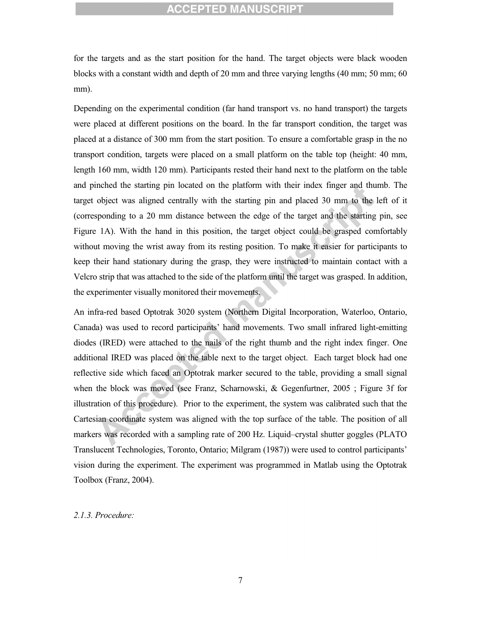for the targets and as the start position for the hand. The target objects were black wooden blocks with a constant width and depth of 20 mm and three varying lengths (40 mm; 50 mm; 60 mm).

Depending on the experimental condition (far hand transport vs. no hand transport) the targets were placed at different positions on the board. In the far transport condition, the target was placed at a distance of 300 mm from the start position. To ensure a comfortable grasp in the no transport condition, targets were placed on a small platform on the table top (height: 40 mm, length 160 mm, width 120 mm). Participants rested their hand next to the platform on the table and pinched the starting pin located on the platform with their index finger and thumb. The target object was aligned centrally with the starting pin and placed 30 mm to the left of it (corresponding to a 20 mm distance between the edge of the target and the starting pin, see Figure 1A). With the hand in this position, the target object could be grasped comfortably without moving the wrist away from its resting position. To make it easier for participants to keep their hand stationary during the grasp, they were instructed to maintain contact with a Velcro strip that was attached to the side of the platform until the target was grasped. In addition, the experimenter visually monitored their movements.

An infra-red based Optotrak 3020 system (Northern Digital Incorporation, Waterloo, Ontario, Canada) was used to record participants' hand movements. Two small infrared light-emitting diodes (IRED) were attached to the nails of the right thumb and the right index finger. One additional IRED was placed on the table next to the target object. Each target block had one reflective side which faced an Optotrak marker secured to the table, providing a small signal when the block was moved (see Franz, Scharnowski, & Gegenfurtner, 2005 ; Figure 3f for illustration of this procedure). Prior to the experiment, the system was calibrated such that the Cartesian coordinate system was aligned with the top surface of the table. The position of all markers was recorded with a sampling rate of 200 Hz. Liquid–crystal shutter goggles (PLATO Translucent Technologies, Toronto, Ontario; Milgram (1987)) were used to control participants' vision during the experiment. The experiment was programmed in Matlab using the Optotrak Toolbox (Franz, 2004).

*2.1.3. Procedure:*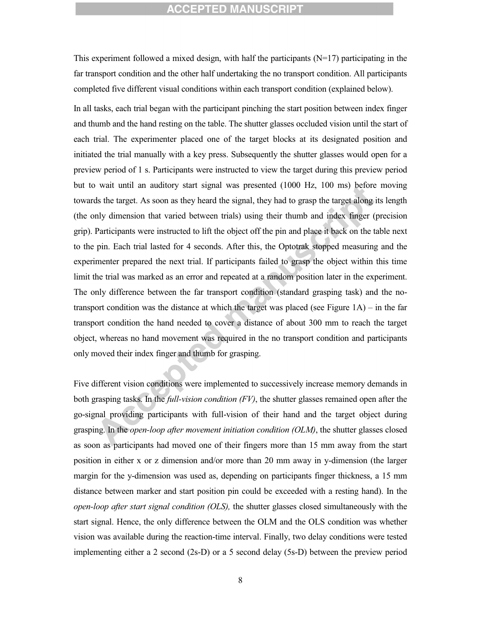This experiment followed a mixed design, with half the participants  $(N=17)$  participating in the far transport condition and the other half undertaking the no transport condition. All participants completed five different visual conditions within each transport condition (explained below).

In all tasks, each trial began with the participant pinching the start position between index finger and thumb and the hand resting on the table. The shutter glasses occluded vision until the start of each trial. The experimenter placed one of the target blocks at its designated position and initiated the trial manually with a key press. Subsequently the shutter glasses would open for a preview period of 1 s. Participants were instructed to view the target during this preview period but to wait until an auditory start signal was presented (1000 Hz, 100 ms) before moving towards the target. As soon as they heard the signal, they had to grasp the target along its length (the only dimension that varied between trials) using their thumb and index finger (precision grip). Participants were instructed to lift the object off the pin and place it back on the table next to the pin. Each trial lasted for 4 seconds. After this, the Optotrak stopped measuring and the experimenter prepared the next trial. If participants failed to grasp the object within this time limit the trial was marked as an error and repeated at a random position later in the experiment. The only difference between the far transport condition (standard grasping task) and the notransport condition was the distance at which the target was placed (see Figure  $1A$ ) – in the far transport condition the hand needed to cover a distance of about 300 mm to reach the target object, whereas no hand movement was required in the no transport condition and participants only moved their index finger and thumb for grasping.

Five different vision conditions were implemented to successively increase memory demands in both grasping tasks. In the *full-vision condition (FV)*, the shutter glasses remained open after the go-signal providing participants with full-vision of their hand and the target object during grasping. In the *open-loop after movement initiation condition (OLM)*, the shutter glasses closed as soon as participants had moved one of their fingers more than 15 mm away from the start position in either x or z dimension and/or more than 20 mm away in y-dimension (the larger margin for the y-dimension was used as, depending on participants finger thickness, a 15 mm distance between marker and start position pin could be exceeded with a resting hand). In the *open-loop after start signal condition (OLS),* the shutter glasses closed simultaneously with the start signal. Hence, the only difference between the OLM and the OLS condition was whether vision was available during the reaction-time interval. Finally, two delay conditions were tested implementing either a 2 second (2s-D) or a 5 second delay (5s-D) between the preview period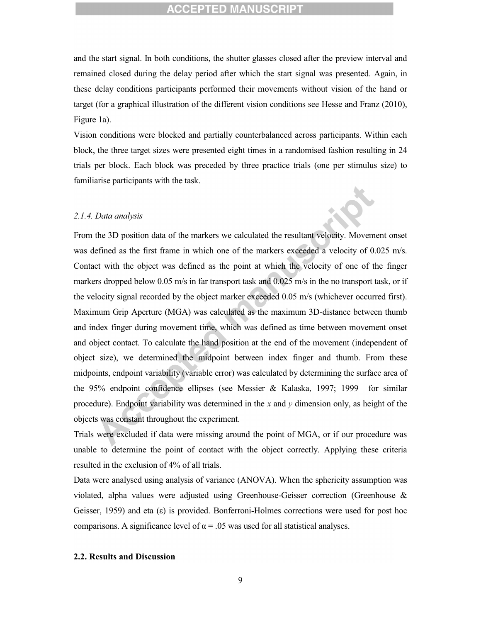and the start signal. In both conditions, the shutter glasses closed after the preview interval and remained closed during the delay period after which the start signal was presented. Again, in these delay conditions participants performed their movements without vision of the hand or target (for a graphical illustration of the different vision conditions see Hesse and Franz (2010), Figure 1a).

Vision conditions were blocked and partially counterbalanced across participants. Within each block, the three target sizes were presented eight times in a randomised fashion resulting in 24 trials per block. Each block was preceded by three practice trials (one per stimulus size) to familiarise participants with the task.

#### *2.1.4. Data analysis*

From the 3D position data of the markers we calculated the resultant velocity. Movement onset was defined as the first frame in which one of the markers exceeded a velocity of 0.025 m/s. Contact with the object was defined as the point at which the velocity of one of the finger markers dropped below 0.05 m/s in far transport task and  $0.025$  m/s in the no transport task, or if the velocity signal recorded by the object marker exceeded 0.05 m/s (whichever occurred first). Maximum Grip Aperture (MGA) was calculated as the maximum 3D-distance between thumb and index finger during movement time, which was defined as time between movement onset and object contact. To calculate the hand position at the end of the movement (independent of object size), we determined the midpoint between index finger and thumb. From these midpoints, endpoint variability (variable error) was calculated by determining the surface area of the 95% endpoint confidence ellipses (see Messier & Kalaska, 1997; 1999 for similar procedure). Endpoint variability was determined in the *x* and *y* dimension only, as height of the objects was constant throughout the experiment.

Trials were excluded if data were missing around the point of MGA, or if our procedure was unable to determine the point of contact with the object correctly. Applying these criteria resulted in the exclusion of 4% of all trials.

Data were analysed using analysis of variance (ANOVA). When the sphericity assumption was violated, alpha values were adjusted using Greenhouse-Geisser correction (Greenhouse & Geisser, 1959) and eta (ε) is provided. Bonferroni-Holmes corrections were used for post hoc comparisons. A significance level of  $\alpha$  = .05 was used for all statistical analyses.

#### **2.2. Results and Discussion**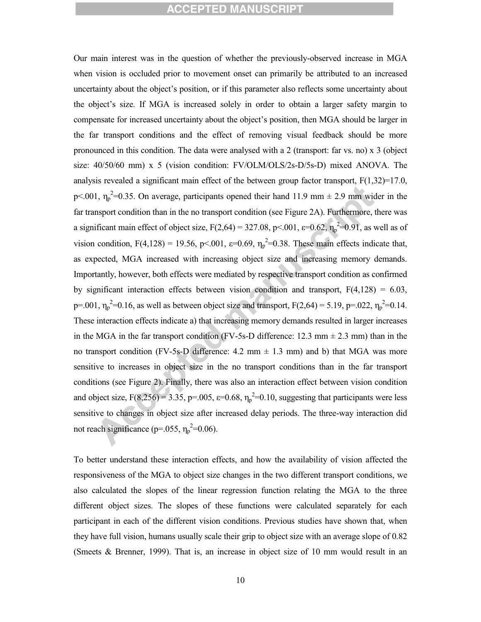Our main interest was in the question of whether the previously-observed increase in MGA when vision is occluded prior to movement onset can primarily be attributed to an increased uncertainty about the object's position, or if this parameter also reflects some uncertainty about the object's size. If MGA is increased solely in order to obtain a larger safety margin to compensate for increased uncertainty about the object's position, then MGA should be larger in the far transport conditions and the effect of removing visual feedback should be more pronounced in this condition. The data were analysed with a 2 (transport: far vs. no) x 3 (object size: 40/50/60 mm) x 5 (vision condition: FV/OLM/OLS/2s-D/5s-D) mixed ANOVA. The analysis revealed a significant main effect of the between group factor transport,  $F(1,32)=17.0$ , p<.001,  $\eta_p^2$ =0.35. On average, participants opened their hand 11.9 mm  $\pm$  2.9 mm wider in the far transport condition than in the no transport condition (see Figure 2A). Furthermore, there was a significant main effect of object size,  $F(2,64) = 327.08$ ,  $p<.001$ ,  $\varepsilon = 0.62$ ,  $\eta_p^2 = 0.91$ , as well as of vision condition,  $F(4,128) = 19.56$ , p<.001,  $\varepsilon = 0.69$ ,  $\eta_p^2 = 0.38$ . These main effects indicate that, as expected, MGA increased with increasing object size and increasing memory demands. Importantly, however, both effects were mediated by respective transport condition as confirmed by significant interaction effects between vision condition and transport,  $F(4,128) = 6.03$ , p=.001,  $\eta_p^2$ =0.16, as well as between object size and transport, F(2,64) = 5.19, p=.022,  $\eta_p^2$ =0.14. These interaction effects indicate a) that increasing memory demands resulted in larger increases in the MGA in the far transport condition (FV-5s-D difference:  $12.3 \text{ mm} \pm 2.3 \text{ mm}$ ) than in the no transport condition (FV-5s-D difference: 4.2 mm  $\pm$  1.3 mm) and b) that MGA was more sensitive to increases in object size in the no transport conditions than in the far transport conditions (see Figure 2). Finally, there was also an interaction effect between vision condition and object size,  $F(8,256) = 3.35$ , p=.005,  $\varepsilon = 0.68$ ,  $\eta_p^2 = 0.10$ , suggesting that participants were less sensitive to changes in object size after increased delay periods. The three-way interaction did not reach significance ( $p=0.055$ ,  $\eta_p^2=0.06$ ).

To better understand these interaction effects, and how the availability of vision affected the responsiveness of the MGA to object size changes in the two different transport conditions, we also calculated the slopes of the linear regression function relating the MGA to the three different object sizes. The slopes of these functions were calculated separately for each participant in each of the different vision conditions. Previous studies have shown that, when they have full vision, humans usually scale their grip to object size with an average slope of 0.82 (Smeets & Brenner, 1999). That is, an increase in object size of 10 mm would result in an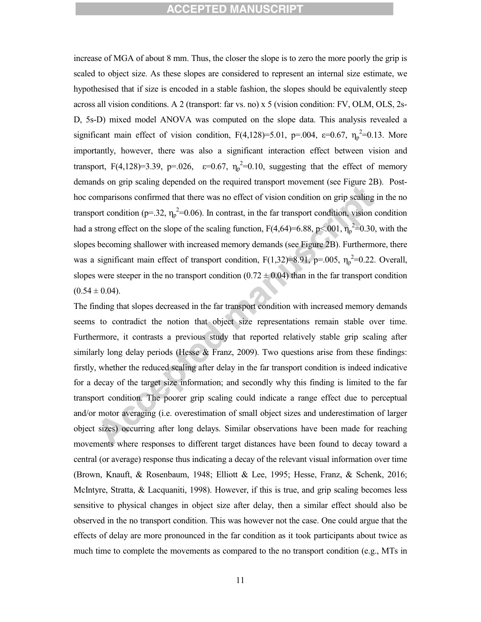increase of MGA of about 8 mm. Thus, the closer the slope is to zero the more poorly the grip is scaled to object size. As these slopes are considered to represent an internal size estimate, we hypothesised that if size is encoded in a stable fashion, the slopes should be equivalently steep across all vision conditions. A 2 (transport: far vs. no) x 5 (vision condition: FV, OLM, OLS, 2s-D, 5s-D) mixed model ANOVA was computed on the slope data. This analysis revealed a significant main effect of vision condition,  $F(4,128)=5.01$ ,  $p=.004$ ,  $\varepsilon=0.67$ ,  $\eta_p^2=0.13$ . More importantly, however, there was also a significant interaction effect between vision and transport, F(4,128)=3.39, p=.026,  $\varepsilon$ =0.67,  $\eta_p^2$ =0.10, suggesting that the effect of memory demands on grip scaling depended on the required transport movement (see Figure 2B). Posthoc comparisons confirmed that there was no effect of vision condition on grip scaling in the no transport condition ( $p=32$ ,  $\eta_p^2=0.06$ ). In contrast, in the far transport condition, vision condition had a strong effect on the slope of the scaling function,  $F(4,64)=6.88$ ,  $p<.001$ ,  $\eta_p^2=0.30$ , with the slopes becoming shallower with increased memory demands (see Figure 2B). Furthermore, there was a significant main effect of transport condition,  $F(1,32)=8.91$ ,  $p=.005$ ,  $\eta_p^2=0.22$ . Overall, slopes were steeper in the no transport condition  $(0.72 \pm 0.04)$  than in the far transport condition  $(0.54 \pm 0.04)$ .

The finding that slopes decreased in the far transport condition with increased memory demands seems to contradict the notion that object size representations remain stable over time. Furthermore, it contrasts a previous study that reported relatively stable grip scaling after similarly long delay periods (Hesse  $\&$  Franz, 2009). Two questions arise from these findings: firstly, whether the reduced scaling after delay in the far transport condition is indeed indicative for a decay of the target size information; and secondly why this finding is limited to the far transport condition. The poorer grip scaling could indicate a range effect due to perceptual and/or motor averaging (i.e. overestimation of small object sizes and underestimation of larger object sizes) occurring after long delays. Similar observations have been made for reaching movements where responses to different target distances have been found to decay toward a central (or average) response thus indicating a decay of the relevant visual information over time (Brown, Knauft, & Rosenbaum, 1948; Elliott & Lee, 1995; Hesse, Franz, & Schenk, 2016; McIntyre, Stratta, & Lacquaniti, 1998). However, if this is true, and grip scaling becomes less sensitive to physical changes in object size after delay, then a similar effect should also be observed in the no transport condition. This was however not the case. One could argue that the effects of delay are more pronounced in the far condition as it took participants about twice as much time to complete the movements as compared to the no transport condition (e.g., MTs in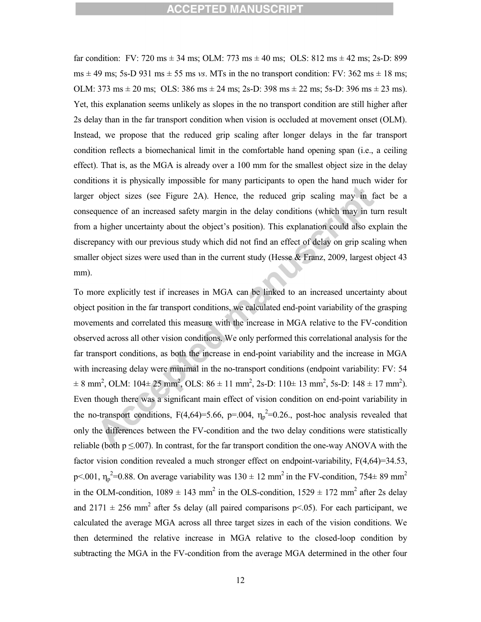far condition: FV: 720 ms  $\pm$  34 ms; OLM: 773 ms  $\pm$  40 ms; OLS: 812 ms  $\pm$  42 ms; 2s-D: 899 ms  $\pm$  49 ms; 5s-D 931 ms  $\pm$  55 ms *vs*. MTs in the no transport condition: FV: 362 ms  $\pm$  18 ms; OLM:  $373 \text{ ms} \pm 20 \text{ ms}$ ; OLS:  $386 \text{ ms} \pm 24 \text{ ms}$ ;  $2s\text{-}D$ :  $398 \text{ ms} \pm 22 \text{ ms}$ ;  $5s\text{-}D$ :  $396 \text{ ms} \pm 23 \text{ ms}$ ). Yet, this explanation seems unlikely as slopes in the no transport condition are still higher after 2s delay than in the far transport condition when vision is occluded at movement onset (OLM). Instead, we propose that the reduced grip scaling after longer delays in the far transport condition reflects a biomechanical limit in the comfortable hand opening span (i.e., a ceiling effect). That is, as the MGA is already over a 100 mm for the smallest object size in the delay conditions it is physically impossible for many participants to open the hand much wider for larger object sizes (see Figure 2A). Hence, the reduced grip scaling may in fact be a consequence of an increased safety margin in the delay conditions (which may in turn result from a higher uncertainty about the object's position). This explanation could also explain the discrepancy with our previous study which did not find an effect of delay on grip scaling when smaller object sizes were used than in the current study (Hesse  $\&$  Franz, 2009, largest object 43 mm).

To more explicitly test if increases in MGA can be linked to an increased uncertainty about object position in the far transport conditions, we calculated end-point variability of the grasping movements and correlated this measure with the increase in MGA relative to the FV-condition observed across all other vision conditions. We only performed this correlational analysis for the far transport conditions, as both the increase in end-point variability and the increase in MGA with increasing delay were minimal in the no-transport conditions (endpoint variability: FV: 54  $\pm 8$  mm<sup>2</sup>, OLM:  $104 \pm 25$  mm<sup>2</sup>, OLS:  $86 \pm 11$  mm<sup>2</sup>, 2s-D:  $110 \pm 13$  mm<sup>2</sup>, 5s-D:  $148 \pm 17$  mm<sup>2</sup>). Even though there was a significant main effect of vision condition on end-point variability in the no-transport conditions,  $F(4,64)=5.66$ ,  $p=.004$ ,  $\eta_p^2=0.26$ ., post-hoc analysis revealed that only the differences between the FV-condition and the two delay conditions were statistically reliable (both  $p \le 007$ ). In contrast, for the far transport condition the one-way ANOVA with the factor vision condition revealed a much stronger effect on endpoint-variability,  $F(4,64)=34.53$ , p<.001,  $\eta_p^2$ =0.88. On average variability was  $130 \pm 12$  mm<sup>2</sup> in the FV-condition, 754 $\pm$  89 mm<sup>2</sup> in the OLM-condition,  $1089 \pm 143$  mm<sup>2</sup> in the OLS-condition,  $1529 \pm 172$  mm<sup>2</sup> after 2s delay and 2171  $\pm$  256 mm<sup>2</sup> after 5s delay (all paired comparisons p<.05). For each participant, we calculated the average MGA across all three target sizes in each of the vision conditions. We then determined the relative increase in MGA relative to the closed-loop condition by subtracting the MGA in the FV-condition from the average MGA determined in the other four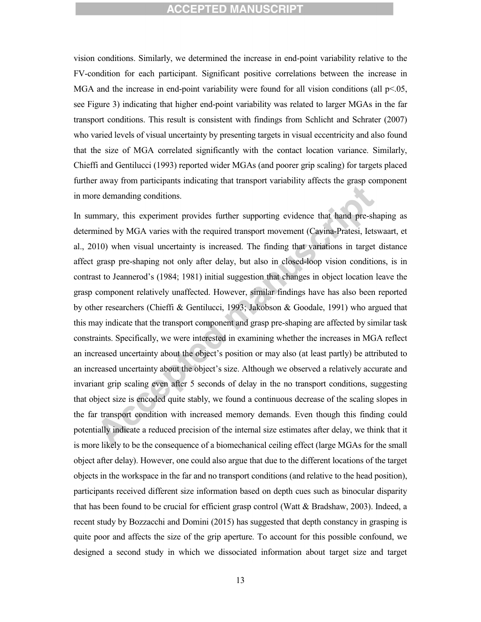vision conditions. Similarly, we determined the increase in end-point variability relative to the FV-condition for each participant. Significant positive correlations between the increase in MGA and the increase in end-point variability were found for all vision conditions (all  $p<0.05$ , see Figure 3) indicating that higher end-point variability was related to larger MGAs in the far transport conditions. This result is consistent with findings from Schlicht and Schrater (2007) who varied levels of visual uncertainty by presenting targets in visual eccentricity and also found that the size of MGA correlated significantly with the contact location variance. Similarly, Chieffi and Gentilucci (1993) reported wider MGAs (and poorer grip scaling) for targets placed further away from participants indicating that transport variability affects the grasp component in more demanding conditions.

In summary, this experiment provides further supporting evidence that hand pre-shaping as determined by MGA varies with the required transport movement (Cavina-Pratesi, Ietswaart, et al., 2010) when visual uncertainty is increased. The finding that variations in target distance affect grasp pre-shaping not only after delay, but also in closed-loop vision conditions, is in contrast to Jeannerod's (1984; 1981) initial suggestion that changes in object location leave the grasp component relatively unaffected. However, similar findings have has also been reported by other researchers (Chieffi & Gentilucci, 1993; Jakobson & Goodale, 1991) who argued that this may indicate that the transport component and grasp pre-shaping are affected by similar task constraints. Specifically, we were interested in examining whether the increases in MGA reflect an increased uncertainty about the object's position or may also (at least partly) be attributed to an increased uncertainty about the object's size. Although we observed a relatively accurate and invariant grip scaling even after 5 seconds of delay in the no transport conditions, suggesting that object size is encoded quite stably, we found a continuous decrease of the scaling slopes in the far transport condition with increased memory demands. Even though this finding could potentially indicate a reduced precision of the internal size estimates after delay, we think that it is more likely to be the consequence of a biomechanical ceiling effect (large MGAs for the small object after delay). However, one could also argue that due to the different locations of the target objects in the workspace in the far and no transport conditions (and relative to the head position), participants received different size information based on depth cues such as binocular disparity that has been found to be crucial for efficient grasp control (Watt & Bradshaw, 2003). Indeed, a recent study by Bozzacchi and Domini (2015) has suggested that depth constancy in grasping is quite poor and affects the size of the grip aperture. To account for this possible confound, we designed a second study in which we dissociated information about target size and target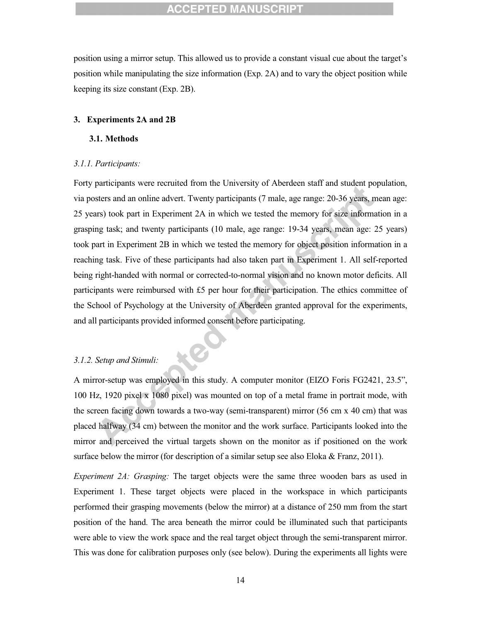position using a mirror setup. This allowed us to provide a constant visual cue about the target's position while manipulating the size information (Exp. 2A) and to vary the object position while keeping its size constant (Exp. 2B).

#### **3. Experiments 2A and 2B**

#### **3.1. Methods**

#### *3.1.1. Participants:*

Forty participants were recruited from the University of Aberdeen staff and student population, via posters and an online advert. Twenty participants (7 male, age range: 20-36 years, mean age: 25 years) took part in Experiment 2A in which we tested the memory for size information in a grasping task; and twenty participants (10 male, age range: 19-34 years, mean age: 25 years) took part in Experiment 2B in which we tested the memory for object position information in a reaching task. Five of these participants had also taken part in Experiment 1. All self-reported being right-handed with normal or corrected-to-normal vision and no known motor deficits. All participants were reimbursed with £5 per hour for their participation. The ethics committee of the School of Psychology at the University of Aberdeen granted approval for the experiments, and all participants provided informed consent before participating.

#### *3.1.2. Setup and Stimuli:*

A mirror-setup was employed in this study. A computer monitor (EIZO Foris FG2421, 23.5", 100 Hz, 1920 pixel x 1080 pixel) was mounted on top of a metal frame in portrait mode, with the screen facing down towards a two-way (semi-transparent) mirror (56 cm x 40 cm) that was placed halfway (34 cm) between the monitor and the work surface. Participants looked into the mirror and perceived the virtual targets shown on the monitor as if positioned on the work surface below the mirror (for description of a similar setup see also Eloka & Franz, 2011).

*Experiment 2A: Grasping:* The target objects were the same three wooden bars as used in Experiment 1. These target objects were placed in the workspace in which participants performed their grasping movements (below the mirror) at a distance of 250 mm from the start position of the hand. The area beneath the mirror could be illuminated such that participants were able to view the work space and the real target object through the semi-transparent mirror. This was done for calibration purposes only (see below). During the experiments all lights were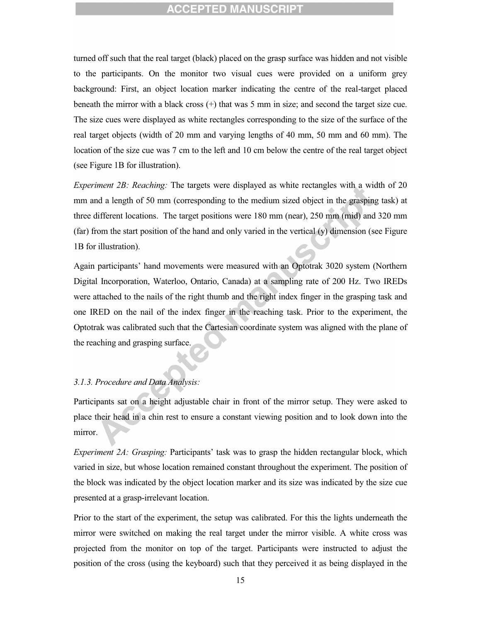turned off such that the real target (black) placed on the grasp surface was hidden and not visible to the participants. On the monitor two visual cues were provided on a uniform grey background: First, an object location marker indicating the centre of the real-target placed beneath the mirror with a black cross (+) that was 5 mm in size; and second the target size cue. The size cues were displayed as white rectangles corresponding to the size of the surface of the real target objects (width of 20 mm and varying lengths of 40 mm, 50 mm and 60 mm). The location of the size cue was 7 cm to the left and 10 cm below the centre of the real target object (see Figure 1B for illustration).

*Experiment 2B: Reaching:* The targets were displayed as white rectangles with a width of 20 mm and a length of 50 mm (corresponding to the medium sized object in the grasping task) at three different locations. The target positions were 180 mm (near), 250 mm (mid) and 320 mm (far) from the start position of the hand and only varied in the vertical (y) dimension (see Figure 1B for illustration).

Again participants' hand movements were measured with an Optotrak 3020 system (Northern Digital Incorporation, Waterloo, Ontario, Canada) at a sampling rate of 200 Hz. Two IREDs were attached to the nails of the right thumb and the right index finger in the grasping task and one IRED on the nail of the index finger in the reaching task. Prior to the experiment, the Optotrak was calibrated such that the Cartesian coordinate system was aligned with the plane of the reaching and grasping surface.

#### *3.1.3. Procedure and Data Analysis:*

Participants sat on a height adjustable chair in front of the mirror setup. They were asked to place their head in a chin rest to ensure a constant viewing position and to look down into the mirror.

*Experiment 2A: Grasping:* Participants' task was to grasp the hidden rectangular block, which varied in size, but whose location remained constant throughout the experiment. The position of the block was indicated by the object location marker and its size was indicated by the size cue presented at a grasp-irrelevant location.

Prior to the start of the experiment, the setup was calibrated. For this the lights underneath the mirror were switched on making the real target under the mirror visible. A white cross was projected from the monitor on top of the target. Participants were instructed to adjust the position of the cross (using the keyboard) such that they perceived it as being displayed in the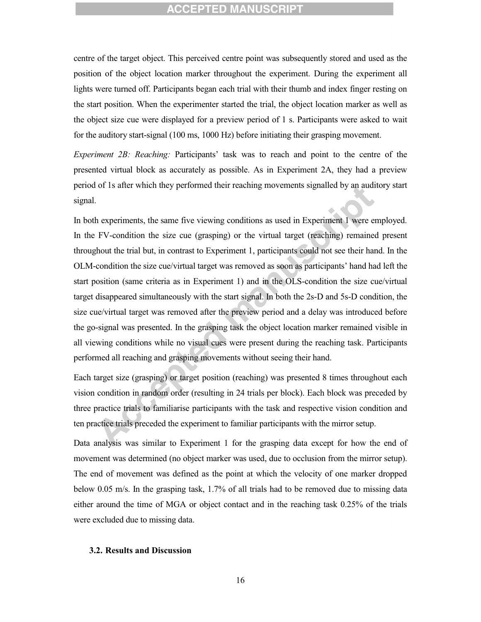centre of the target object. This perceived centre point was subsequently stored and used as the position of the object location marker throughout the experiment. During the experiment all lights were turned off. Participants began each trial with their thumb and index finger resting on the start position. When the experimenter started the trial, the object location marker as well as the object size cue were displayed for a preview period of 1 s. Participants were asked to wait for the auditory start-signal (100 ms, 1000 Hz) before initiating their grasping movement.

*Experiment 2B: Reaching:* Participants' task was to reach and point to the centre of the presented virtual block as accurately as possible. As in Experiment 2A, they had a preview period of 1s after which they performed their reaching movements signalled by an auditory start signal.

In both experiments, the same five viewing conditions as used in Experiment 1 were employed. In the FV-condition the size cue (grasping) or the virtual target (reaching) remained present throughout the trial but, in contrast to Experiment 1, participants could not see their hand. In the OLM-condition the size cue/virtual target was removed as soon as participants' hand had left the start position (same criteria as in Experiment 1) and in the OLS-condition the size cue/virtual target disappeared simultaneously with the start signal. In both the 2s-D and 5s-D condition, the size cue/virtual target was removed after the preview period and a delay was introduced before the go-signal was presented. In the grasping task the object location marker remained visible in all viewing conditions while no visual cues were present during the reaching task. Participants performed all reaching and grasping movements without seeing their hand.

Each target size (grasping) or target position (reaching) was presented 8 times throughout each vision condition in random order (resulting in 24 trials per block). Each block was preceded by three practice trials to familiarise participants with the task and respective vision condition and ten practice trials preceded the experiment to familiar participants with the mirror setup.

Data analysis was similar to Experiment 1 for the grasping data except for how the end of movement was determined (no object marker was used, due to occlusion from the mirror setup). The end of movement was defined as the point at which the velocity of one marker dropped below 0.05 m/s. In the grasping task, 1.7% of all trials had to be removed due to missing data either around the time of MGA or object contact and in the reaching task 0.25% of the trials were excluded due to missing data.

#### **3.2. Results and Discussion**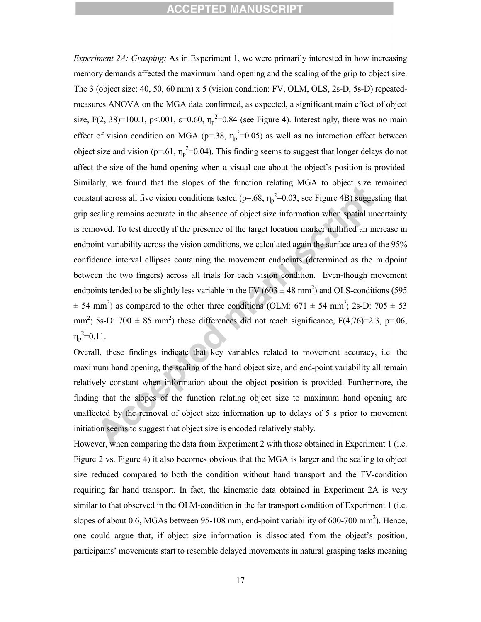*Experiment 2A: Grasping:* As in Experiment 1, we were primarily interested in how increasing memory demands affected the maximum hand opening and the scaling of the grip to object size. The 3 (object size: 40, 50, 60 mm) x 5 (vision condition: FV, OLM, OLS, 2s-D, 5s-D) repeatedmeasures ANOVA on the MGA data confirmed, as expected, a significant main effect of object size, F(2, 38)=100.1, p<.001,  $\varepsilon$ =0.60,  $\eta_p^2$ =0.84 (see Figure 4). Interestingly, there was no main effect of vision condition on MGA ( $p=38$ ,  $\eta_p^2=0.05$ ) as well as no interaction effect between object size and vision ( $p=0.61$ ,  $\eta_p^2=0.04$ ). This finding seems to suggest that longer delays do not affect the size of the hand opening when a visual cue about the object's position is provided. Similarly, we found that the slopes of the function relating MGA to object size remained constant across all five vision conditions tested ( $p=68$ ,  $\eta_p^2=0.03$ , see Figure 4B) suggesting that grip scaling remains accurate in the absence of object size information when spatial uncertainty is removed. To test directly if the presence of the target location marker nullified an increase in endpoint-variability across the vision conditions, we calculated again the surface area of the 95% confidence interval ellipses containing the movement endpoints (determined as the midpoint between the two fingers) across all trials for each vision condition. Even-though movement endpoints tended to be slightly less variable in the FV  $(603 \pm 48 \text{ mm}^2)$  and OLS-conditions (595)  $\pm$  54 mm<sup>2</sup>) as compared to the other three conditions (OLM: 671  $\pm$  54 mm<sup>2</sup>; 2s-D: 705  $\pm$  53 mm<sup>2</sup>; 5s-D: 700  $\pm$  85 mm<sup>2</sup>) these differences did not reach significance, F(4,76)=2.3, p=.06,  $\eta_p^2 = 0.11$ .

Overall, these findings indicate that key variables related to movement accuracy, i.e. the maximum hand opening, the scaling of the hand object size, and end-point variability all remain relatively constant when information about the object position is provided. Furthermore, the finding that the slopes of the function relating object size to maximum hand opening are unaffected by the removal of object size information up to delays of 5 s prior to movement initiation seems to suggest that object size is encoded relatively stably.

However, when comparing the data from Experiment 2 with those obtained in Experiment 1 (i.e. Figure 2 vs. Figure 4) it also becomes obvious that the MGA is larger and the scaling to object size reduced compared to both the condition without hand transport and the FV-condition requiring far hand transport. In fact, the kinematic data obtained in Experiment 2A is very similar to that observed in the OLM-condition in the far transport condition of Experiment 1 (i.e. slopes of about 0.6, MGAs between 95-108 mm, end-point variability of  $600-700$  mm<sup>2</sup>). Hence, one could argue that, if object size information is dissociated from the object's position, participants' movements start to resemble delayed movements in natural grasping tasks meaning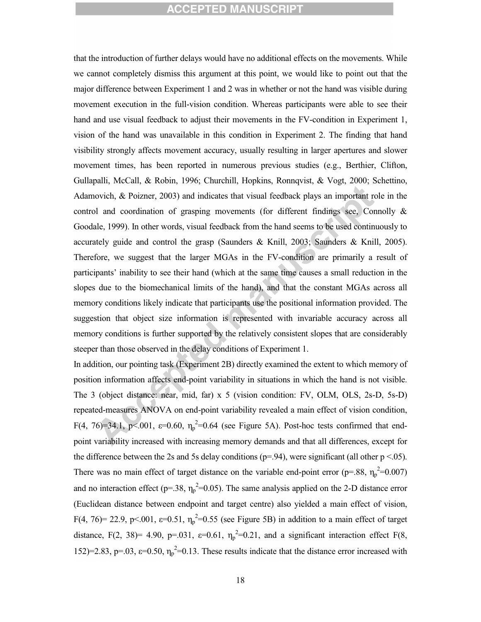that the introduction of further delays would have no additional effects on the movements. While we cannot completely dismiss this argument at this point, we would like to point out that the major difference between Experiment 1 and 2 was in whether or not the hand was visible during movement execution in the full-vision condition. Whereas participants were able to see their hand and use visual feedback to adjust their movements in the FV-condition in Experiment 1, vision of the hand was unavailable in this condition in Experiment 2. The finding that hand visibility strongly affects movement accuracy, usually resulting in larger apertures and slower movement times, has been reported in numerous previous studies (e.g., Berthier, Clifton, Gullapalli, McCall, & Robin, 1996; Churchill, Hopkins, Ronnqvist, & Vogt, 2000; Schettino, Adamovich, & Poizner, 2003) and indicates that visual feedback plays an important role in the control and coordination of grasping movements (for different findings see, Connolly & Goodale, 1999). In other words, visual feedback from the hand seems to be used continuously to accurately guide and control the grasp (Saunders & Knill, 2003; Saunders & Knill, 2005). Therefore, we suggest that the larger MGAs in the FV-condition are primarily a result of participants' inability to see their hand (which at the same time causes a small reduction in the slopes due to the biomechanical limits of the hand), and that the constant MGAs across all memory conditions likely indicate that participants use the positional information provided. The suggestion that object size information is represented with invariable accuracy across all memory conditions is further supported by the relatively consistent slopes that are considerably steeper than those observed in the delay conditions of Experiment 1.

In addition, our pointing task (Experiment 2B) directly examined the extent to which memory of position information affects end-point variability in situations in which the hand is not visible. The 3 (object distance: near, mid, far) x 5 (vision condition: FV, OLM, OLS, 2s-D, 5s-D) repeated-measures ANOVA on end-point variability revealed a main effect of vision condition, F(4, 76)=34.1, p<.001,  $\varepsilon$ =0.60,  $\eta_p^2$ =0.64 (see Figure 5A). Post-hoc tests confirmed that endpoint variability increased with increasing memory demands and that all differences, except for the difference between the 2s and 5s delay conditions ( $p=0.94$ ), were significant (all other  $p < 0.05$ ). There was no main effect of target distance on the variable end-point error (p=.88,  $\eta_p^2$ =0.007) and no interaction effect ( $p=38$ ,  $\eta_p^2=0.05$ ). The same analysis applied on the 2-D distance error (Euclidean distance between endpoint and target centre) also yielded a main effect of vision, F(4, 76)= 22.9, p<.001,  $\varepsilon$ =0.51,  $\eta_p^2$ =0.55 (see Figure 5B) in addition to a main effect of target distance, F(2, 38) = 4.90, p=.031,  $\varepsilon$ =0.61,  $\eta_p^2$ =0.21, and a significant interaction effect F(8, 152)=2.83, p=.03,  $\varepsilon$ =0.50,  $\eta_p^2$ =0.13. These results indicate that the distance error increased with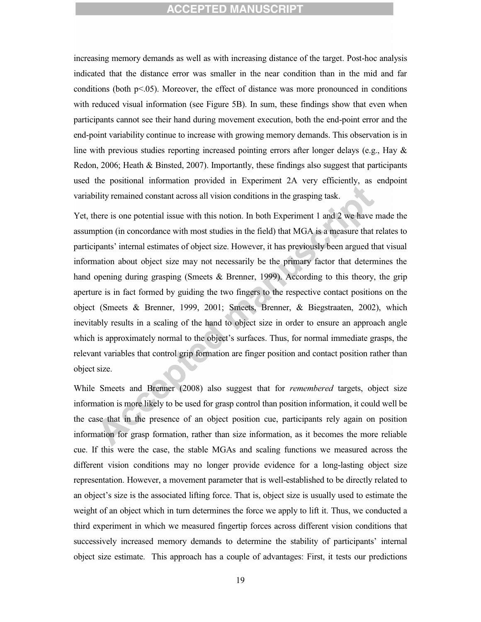increasing memory demands as well as with increasing distance of the target. Post-hoc analysis indicated that the distance error was smaller in the near condition than in the mid and far conditions (both  $p<0.05$ ). Moreover, the effect of distance was more pronounced in conditions with reduced visual information (see Figure 5B). In sum, these findings show that even when participants cannot see their hand during movement execution, both the end-point error and the end-point variability continue to increase with growing memory demands. This observation is in line with previous studies reporting increased pointing errors after longer delays (e.g., Hay & Redon, 2006; Heath & Binsted, 2007). Importantly, these findings also suggest that participants used the positional information provided in Experiment 2A very efficiently, as endpoint variability remained constant across all vision conditions in the grasping task.

Yet, there is one potential issue with this notion. In both Experiment 1 and 2 we have made the assumption (in concordance with most studies in the field) that MGA is a measure that relates to participants' internal estimates of object size. However, it has previously been argued that visual information about object size may not necessarily be the primary factor that determines the hand opening during grasping (Smeets & Brenner, 1999). According to this theory, the grip aperture is in fact formed by guiding the two fingers to the respective contact positions on the object (Smeets & Brenner, 1999, 2001; Smeets, Brenner, & Biegstraaten, 2002), which inevitably results in a scaling of the hand to object size in order to ensure an approach angle which is approximately normal to the object's surfaces. Thus, for normal immediate grasps, the relevant variables that control grip formation are finger position and contact position rather than object size.

While Smeets and Brenner (2008) also suggest that for *remembered* targets, object size information is more likely to be used for grasp control than position information, it could well be the case that in the presence of an object position cue, participants rely again on position information for grasp formation, rather than size information, as it becomes the more reliable cue. If this were the case, the stable MGAs and scaling functions we measured across the different vision conditions may no longer provide evidence for a long-lasting object size representation. However, a movement parameter that is well-established to be directly related to an object's size is the associated lifting force. That is, object size is usually used to estimate the weight of an object which in turn determines the force we apply to lift it. Thus, we conducted a third experiment in which we measured fingertip forces across different vision conditions that successively increased memory demands to determine the stability of participants' internal object size estimate. This approach has a couple of advantages: First, it tests our predictions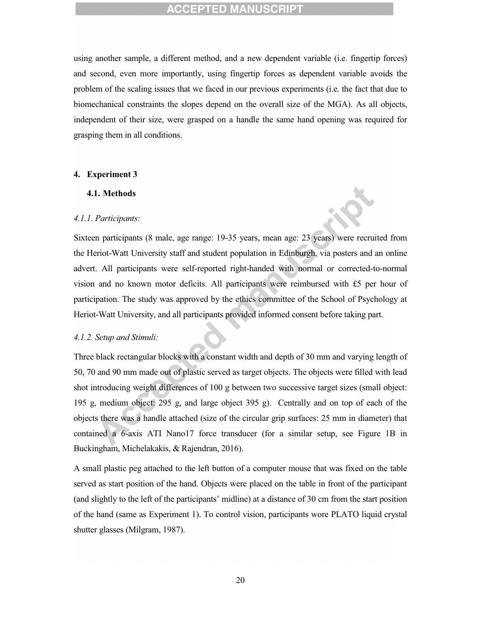using another sample, a different method, and a new dependent variable (i.e. fingertip forces) and second, even more importantly, using fingertip forces as dependent variable avoids the problem of the scaling issues that we faced in our previous experiments (i.e. the fact that due to biomechanical constraints the slopes depend on the overall size of the MGA). As all objects, independent of their size, were grasped on a handle the same hand opening was required for grasping them in all conditions.

#### **4. Experiment 3**

#### **4.1. Methods**

#### *4.1.1. Participants:*

Sixteen participants (8 male, age range: 19-35 years, mean age: 23 years) were recruited from the Heriot-Watt University staff and student population in Edinburgh, via posters and an online advert. All participants were self-reported right-handed with normal or corrected-to-normal vision and no known motor deficits. All participants were reimbursed with £5 per hour of participation. The study was approved by the ethics committee of the School of Psychology at Heriot-Watt University, and all participants provided informed consent before taking part.

#### *4.1.2. Setup and Stimuli:*

Three black rectangular blocks with a constant width and depth of 30 mm and varying length of 50, 70 and 90 mm made out of plastic served as target objects. The objects were filled with lead shot introducing weight differences of 100 g between two successive target sizes (small object: 195 g, medium object: 295 g, and large object 395 g). Centrally and on top of each of the objects there was a handle attached (size of the circular grip surfaces: 25 mm in diameter) that contained a 6-axis ATI Nano17 force transducer (for a similar setup, see Figure 1B in Buckingham, Michelakakis, & Rajendran, 2016).

A small plastic peg attached to the left button of a computer mouse that was fixed on the table served as start position of the hand. Objects were placed on the table in front of the participant (and slightly to the left of the participants' midline) at a distance of 30 cm from the start position of the hand (same as Experiment 1). To control vision, participants wore PLATO liquid crystal shutter glasses (Milgram, 1987).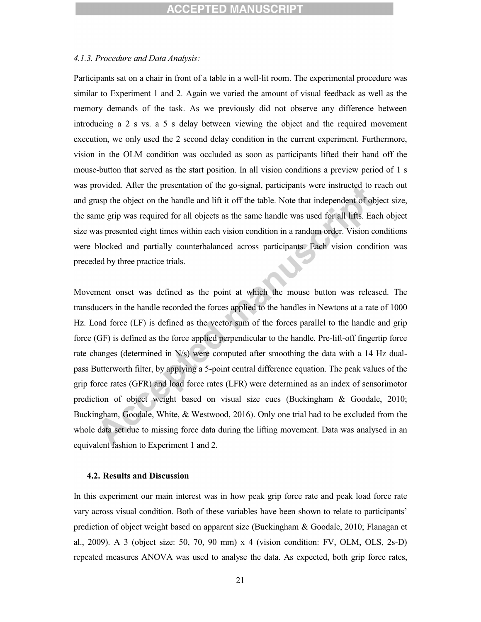#### *4.1.3. Procedure and Data Analysis:*

Participants sat on a chair in front of a table in a well-lit room. The experimental procedure was similar to Experiment 1 and 2. Again we varied the amount of visual feedback as well as the memory demands of the task. As we previously did not observe any difference between introducing a 2 s vs. a 5 s delay between viewing the object and the required movement execution, we only used the 2 second delay condition in the current experiment. Furthermore, vision in the OLM condition was occluded as soon as participants lifted their hand off the mouse-button that served as the start position. In all vision conditions a preview period of 1 s was provided. After the presentation of the go-signal, participants were instructed to reach out and grasp the object on the handle and lift it off the table. Note that independent of object size, the same grip was required for all objects as the same handle was used for all lifts. Each object size was presented eight times within each vision condition in a random order. Vision conditions were blocked and partially counterbalanced across participants. Each vision condition was preceded by three practice trials.

Movement onset was defined as the point at which the mouse button was released. The transducers in the handle recorded the forces applied to the handles in Newtons at a rate of 1000 Hz. Load force (LF) is defined as the vector sum of the forces parallel to the handle and grip force (GF) is defined as the force applied perpendicular to the handle. Pre-lift-off fingertip force rate changes (determined in N/s) were computed after smoothing the data with a 14 Hz dualpass Butterworth filter, by applying a 5-point central difference equation. The peak values of the grip force rates (GFR) and load force rates (LFR) were determined as an index of sensorimotor prediction of object weight based on visual size cues (Buckingham & Goodale, 2010; Buckingham, Goodale, White, & Westwood, 2016). Only one trial had to be excluded from the whole data set due to missing force data during the lifting movement. Data was analysed in an equivalent fashion to Experiment 1 and 2.

#### **4.2. Results and Discussion**

In this experiment our main interest was in how peak grip force rate and peak load force rate vary across visual condition. Both of these variables have been shown to relate to participants' prediction of object weight based on apparent size (Buckingham & Goodale, 2010; Flanagan et al., 2009). A 3 (object size: 50, 70, 90 mm) x 4 (vision condition: FV, OLM, OLS, 2s-D) repeated measures ANOVA was used to analyse the data. As expected, both grip force rates,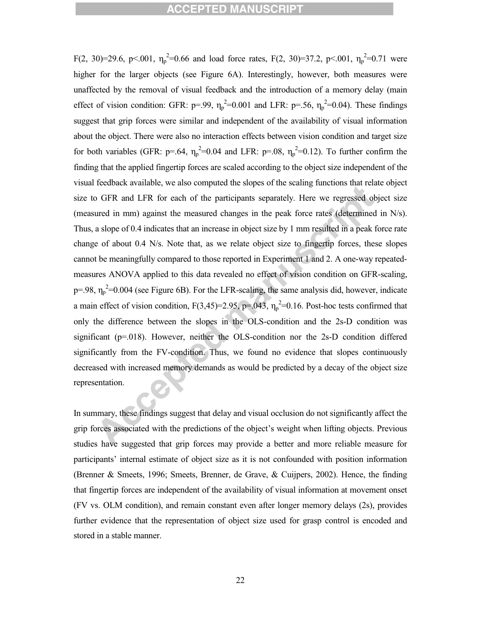F(2, 30)=29.6, p<.001,  $\eta_p^2$ =0.66 and load force rates, F(2, 30)=37.2, p<.001,  $\eta_p^2$ =0.71 were higher for the larger objects (see Figure 6A). Interestingly, however, both measures were unaffected by the removal of visual feedback and the introduction of a memory delay (main effect of vision condition: GFR: p=.99,  $\eta_p^2$ =0.001 and LFR: p=.56,  $\eta_p^2$ =0.04). These findings suggest that grip forces were similar and independent of the availability of visual information about the object. There were also no interaction effects between vision condition and target size for both variables (GFR:  $p=.64$ ,  $\eta_p^2=0.04$  and LFR:  $p=.08$ ,  $\eta_p^2=0.12$ ). To further confirm the finding that the applied fingertip forces are scaled according to the object size independent of the visual feedback available, we also computed the slopes of the scaling functions that relate object size to GFR and LFR for each of the participants separately. Here we regressed object size (measured in mm) against the measured changes in the peak force rates (determined in N/s). Thus, a slope of 0.4 indicates that an increase in object size by 1 mm resulted in a peak force rate change of about 0.4 N/s. Note that, as we relate object size to fingertip forces, these slopes cannot be meaningfully compared to those reported in Experiment 1 and 2. A one-way repeatedmeasures ANOVA applied to this data revealed no effect of vision condition on GFR-scaling,  $p=98$ ,  $\eta_p^2=0.004$  (see Figure 6B). For the LFR-scaling, the same analysis did, however, indicate a main effect of vision condition,  $F(3,45)=2.95$ ,  $p=.043$ ,  $\eta_p^2=0.16$ . Post-hoc tests confirmed that only the difference between the slopes in the OLS-condition and the 2s-D condition was significant (p=.018). However, neither the OLS-condition nor the 2s-D condition differed significantly from the FV-condition. Thus, we found no evidence that slopes continuously decreased with increased memory demands as would be predicted by a decay of the object size representation.

In summary, these findings suggest that delay and visual occlusion do not significantly affect the grip forces associated with the predictions of the object's weight when lifting objects. Previous studies have suggested that grip forces may provide a better and more reliable measure for participants' internal estimate of object size as it is not confounded with position information (Brenner & Smeets, 1996; Smeets, Brenner, de Grave, & Cuijpers, 2002). Hence, the finding that fingertip forces are independent of the availability of visual information at movement onset (FV vs. OLM condition), and remain constant even after longer memory delays (2s), provides further evidence that the representation of object size used for grasp control is encoded and stored in a stable manner.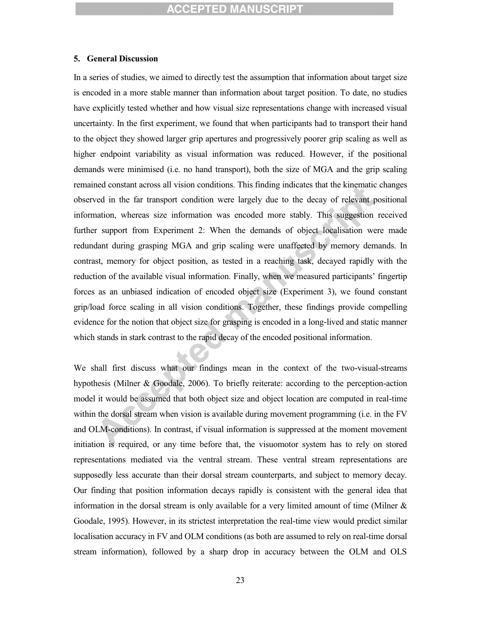#### **5. General Discussion**

In a series of studies, we aimed to directly test the assumption that information about target size is encoded in a more stable manner than information about target position. To date, no studies have explicitly tested whether and how visual size representations change with increased visual uncertainty. In the first experiment, we found that when participants had to transport their hand to the object they showed larger grip apertures and progressively poorer grip scaling as well as higher endpoint variability as visual information was reduced. However, if the positional demands were minimised (i.e. no hand transport), both the size of MGA and the grip scaling remained constant across all vision conditions. This finding indicates that the kinematic changes observed in the far transport condition were largely due to the decay of relevant positional information, whereas size information was encoded more stably. This suggestion received further support from Experiment 2: When the demands of object localisation were made redundant during grasping MGA and grip scaling were unaffected by memory demands. In contrast, memory for object position, as tested in a reaching task, decayed rapidly with the reduction of the available visual information. Finally, when we measured participants' fingertip forces as an unbiased indication of encoded object size (Experiment 3), we found constant grip/load force scaling in all vision conditions. Together, these findings provide compelling evidence for the notion that object size for grasping is encoded in a long-lived and static manner which stands in stark contrast to the rapid decay of the encoded positional information.

We shall first discuss what our findings mean in the context of the two-visual-streams hypothesis (Milner & Goodale, 2006). To briefly reiterate: according to the perception-action model it would be assumed that both object size and object location are computed in real-time within the dorsal stream when vision is available during movement programming (i.e. in the FV and OLM-conditions). In contrast, if visual information is suppressed at the moment movement initiation is required, or any time before that, the visuomotor system has to rely on stored representations mediated via the ventral stream. These ventral stream representations are supposedly less accurate than their dorsal stream counterparts, and subject to memory decay. Our finding that position information decays rapidly is consistent with the general idea that information in the dorsal stream is only available for a very limited amount of time (Milner  $\&$ Goodale, 1995). However, in its strictest interpretation the real-time view would predict similar localisation accuracy in FV and OLM conditions (as both are assumed to rely on real-time dorsal stream information), followed by a sharp drop in accuracy between the OLM and OLS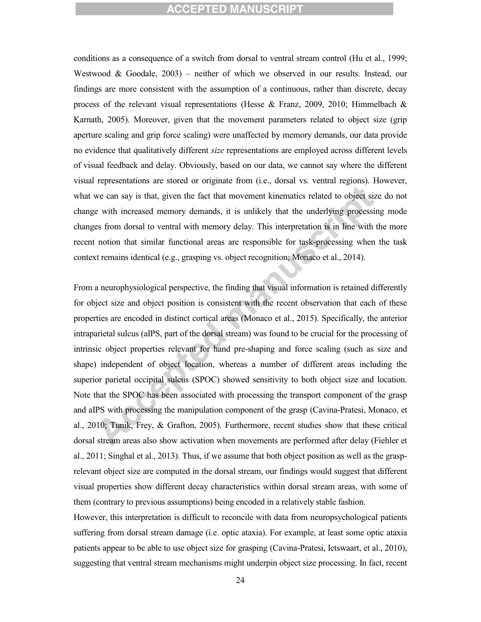conditions as a consequence of a switch from dorsal to ventral stream control (Hu et al., 1999; Westwood & Goodale,  $2003$ ) – neither of which we observed in our results. Instead, our findings are more consistent with the assumption of a continuous, rather than discrete, decay process of the relevant visual representations (Hesse & Franz, 2009, 2010; Himmelbach & Karnath, 2005). Moreover, given that the movement parameters related to object size (grip aperture scaling and grip force scaling) were unaffected by memory demands, our data provide no evidence that qualitatively different *size* representations are employed across different levels of visual feedback and delay. Obviously, based on our data, we cannot say where the different visual representations are stored or originate from (i.e., dorsal vs. ventral regions). However, what we can say is that, given the fact that movement kinematics related to object size do not change with increased memory demands, it is unlikely that the underlying processing mode changes from dorsal to ventral with memory delay. This interpretation is in line with the more recent notion that similar functional areas are responsible for task-processing when the task context remains identical (e.g., grasping vs. object recognition; Monaco et al., 2014).

From a neurophysiological perspective, the finding that visual information is retained differently for object size and object position is consistent with the recent observation that each of these properties are encoded in distinct cortical areas (Monaco et al., 2015). Specifically, the anterior intraparietal sulcus (aIPS, part of the dorsal stream) was found to be crucial for the processing of intrinsic object properties relevant for hand pre-shaping and force scaling (such as size and shape) independent of object location, whereas a number of different areas including the superior parietal occipital sulcus (SPOC) showed sensitivity to both object size and location. Note that the SPOC has been associated with processing the transport component of the grasp and aIPS with processing the manipulation component of the grasp (Cavina-Pratesi, Monaco, et al., 2010; Tunik, Frey, & Grafton, 2005). Furthermore, recent studies show that these critical dorsal stream areas also show activation when movements are performed after delay (Fiehler et al., 2011; Singhal et al., 2013). Thus, if we assume that both object position as well as the grasprelevant object size are computed in the dorsal stream, our findings would suggest that different visual properties show different decay characteristics within dorsal stream areas, with some of them (contrary to previous assumptions) being encoded in a relatively stable fashion.

However, this interpretation is difficult to reconcile with data from neuropsychological patients suffering from dorsal stream damage (i.e. optic ataxia). For example, at least some optic ataxia patients appear to be able to use object size for grasping (Cavina-Pratesi, Ietswaart, et al., 2010), suggesting that ventral stream mechanisms might underpin object size processing. In fact, recent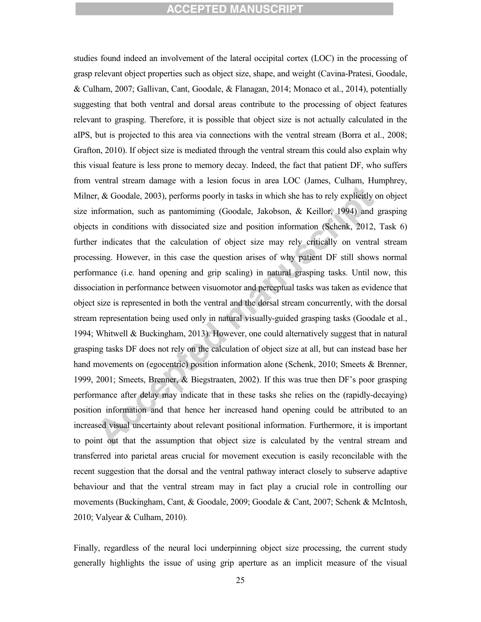studies found indeed an involvement of the lateral occipital cortex (LOC) in the processing of grasp relevant object properties such as object size, shape, and weight (Cavina-Pratesi, Goodale, & Culham, 2007; Gallivan, Cant, Goodale, & Flanagan, 2014; Monaco et al., 2014), potentially suggesting that both ventral and dorsal areas contribute to the processing of object features relevant to grasping. Therefore, it is possible that object size is not actually calculated in the aIPS, but is projected to this area via connections with the ventral stream (Borra et al., 2008; Grafton, 2010). If object size is mediated through the ventral stream this could also explain why this visual feature is less prone to memory decay. Indeed, the fact that patient DF, who suffers from ventral stream damage with a lesion focus in area LOC (James, Culham, Humphrey, Milner, & Goodale, 2003), performs poorly in tasks in which she has to rely explicitly on object size information, such as pantomiming (Goodale, Jakobson, & Keillor, 1994) and grasping objects in conditions with dissociated size and position information (Schenk, 2012, Task 6) further indicates that the calculation of object size may rely critically on ventral stream processing. However, in this case the question arises of why patient DF still shows normal performance (i.e. hand opening and grip scaling) in natural grasping tasks. Until now, this dissociation in performance between visuomotor and perceptual tasks was taken as evidence that object size is represented in both the ventral and the dorsal stream concurrently, with the dorsal stream representation being used only in natural visually-guided grasping tasks (Goodale et al., 1994; Whitwell & Buckingham, 2013). However, one could alternatively suggest that in natural grasping tasks DF does not rely on the calculation of object size at all, but can instead base her hand movements on (egocentric) position information alone (Schenk, 2010; Smeets & Brenner, 1999, 2001; Smeets, Brenner, & Biegstraaten, 2002). If this was true then DF's poor grasping performance after delay may indicate that in these tasks she relies on the (rapidly-decaying) position information and that hence her increased hand opening could be attributed to an increased visual uncertainty about relevant positional information. Furthermore, it is important to point out that the assumption that object size is calculated by the ventral stream and transferred into parietal areas crucial for movement execution is easily reconcilable with the recent suggestion that the dorsal and the ventral pathway interact closely to subserve adaptive behaviour and that the ventral stream may in fact play a crucial role in controlling our movements (Buckingham, Cant, & Goodale, 2009; Goodale & Cant, 2007; Schenk & McIntosh, 2010; Valyear & Culham, 2010).

Finally, regardless of the neural loci underpinning object size processing, the current study generally highlights the issue of using grip aperture as an implicit measure of the visual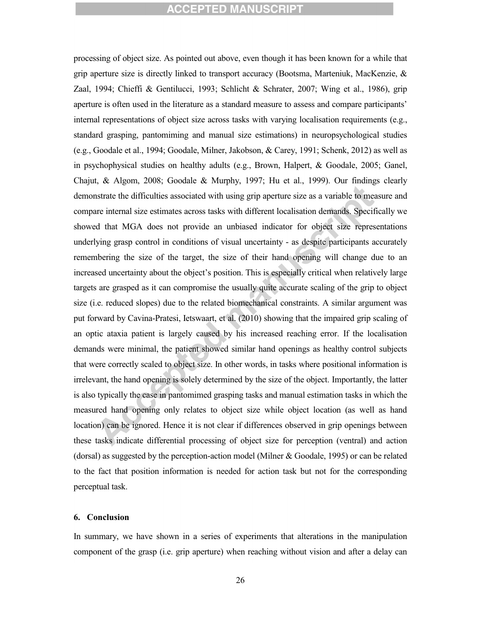processing of object size. As pointed out above, even though it has been known for a while that grip aperture size is directly linked to transport accuracy (Bootsma, Marteniuk, MacKenzie, & Zaal, 1994; Chieffi & Gentilucci, 1993; Schlicht & Schrater, 2007; Wing et al., 1986), grip aperture is often used in the literature as a standard measure to assess and compare participants' internal representations of object size across tasks with varying localisation requirements (e.g., standard grasping, pantomiming and manual size estimations) in neuropsychological studies (e.g., Goodale et al., 1994; Goodale, Milner, Jakobson, & Carey, 1991; Schenk, 2012) as well as in psychophysical studies on healthy adults (e.g., Brown, Halpert, & Goodale, 2005; Ganel, Chajut, & Algom, 2008; Goodale & Murphy, 1997; Hu et al., 1999). Our findings clearly demonstrate the difficulties associated with using grip aperture size as a variable to measure and compare internal size estimates across tasks with different localisation demands. Specifically we showed that MGA does not provide an unbiased indicator for object size representations underlying grasp control in conditions of visual uncertainty - as despite participants accurately remembering the size of the target, the size of their hand opening will change due to an increased uncertainty about the object's position. This is especially critical when relatively large targets are grasped as it can compromise the usually quite accurate scaling of the grip to object size (i.e. reduced slopes) due to the related biomechanical constraints. A similar argument was put forward by Cavina-Pratesi, Ietswaart, et al. (2010) showing that the impaired grip scaling of an optic ataxia patient is largely caused by his increased reaching error. If the localisation demands were minimal, the patient showed similar hand openings as healthy control subjects that were correctly scaled to object size. In other words, in tasks where positional information is irrelevant, the hand opening is solely determined by the size of the object. Importantly, the latter is also typically the case in pantomimed grasping tasks and manual estimation tasks in which the measured hand opening only relates to object size while object location (as well as hand location) can be ignored. Hence it is not clear if differences observed in grip openings between these tasks indicate differential processing of object size for perception (ventral) and action (dorsal) as suggested by the perception-action model (Milner & Goodale, 1995) or can be related to the fact that position information is needed for action task but not for the corresponding perceptual task.

#### **6. Conclusion**

In summary, we have shown in a series of experiments that alterations in the manipulation component of the grasp (i.e. grip aperture) when reaching without vision and after a delay can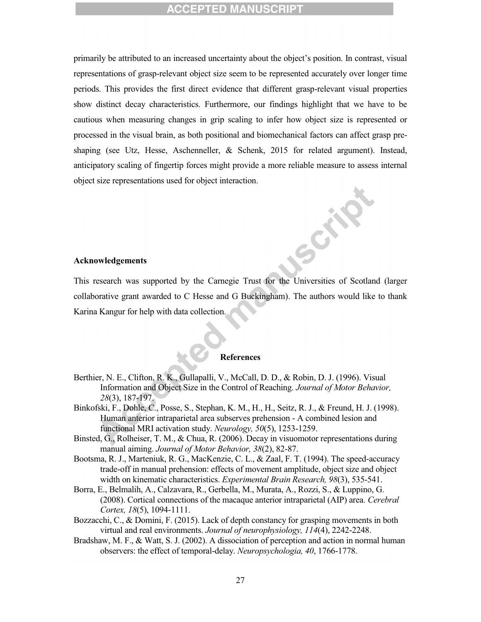primarily be attributed to an increased uncertainty about the object's position. In contrast, visual representations of grasp-relevant object size seem to be represented accurately over longer time periods. This provides the first direct evidence that different grasp-relevant visual properties show distinct decay characteristics. Furthermore, our findings highlight that we have to be cautious when measuring changes in grip scaling to infer how object size is represented or processed in the visual brain, as both positional and biomechanical factors can affect grasp preshaping (see Utz, Hesse, Aschenneller, & Schenk, 2015 for related argument). Instead, anticipatory scaling of fingertip forces might provide a more reliable measure to assess internal object size representations used for object interaction.

#### **Acknowledgements**

This research was supported by the Carnegie Trust for the Universities of Scotland (larger collaborative grant awarded to C Hesse and G Buckingham). The authors would like to thank Karina Kangur for help with data collection.

**POST** 

### **References**

- Berthier, N. E., Clifton, R. K., Gullapalli, V., McCall, D. D., & Robin, D. J. (1996). Visual Information and Object Size in the Control of Reaching. *Journal of Motor Behavior, 28*(3), 187-197.
- Binkofski, F., Dohle, C., Posse, S., Stephan, K. M., H., H., Seitz, R. J., & Freund, H. J. (1998). Human anterior intraparietal area subserves prehension - A combined lesion and functional MRI activation study. *Neurology, 50*(5), 1253-1259.
- Binsted, G., Rolheiser, T. M., & Chua, R. (2006). Decay in visuomotor representations during manual aiming. *Journal of Motor Behavior, 38*(2), 82-87.
- Bootsma, R. J., Marteniuk, R. G., MacKenzie, C. L., & Zaal, F. T. (1994). The speed-accuracy trade-off in manual prehension: effects of movement amplitude, object size and object width on kinematic characteristics. *Experimental Brain Research, 98*(3), 535-541.
- Borra, E., Belmalih, A., Calzavara, R., Gerbella, M., Murata, A., Rozzi, S., & Luppino, G. (2008). Cortical connections of the macaque anterior intraparietal (AIP) area. *Cerebral Cortex, 18*(5), 1094-1111.
- Bozzacchi, C., & Domini, F. (2015). Lack of depth constancy for grasping movements in both virtual and real environments. *Journal of neurophysiology, 114*(4), 2242-2248.
- Bradshaw, M. F., & Watt, S. J. (2002). A dissociation of perception and action in normal human observers: the effect of temporal-delay. *Neuropsychologia, 40*, 1766-1778.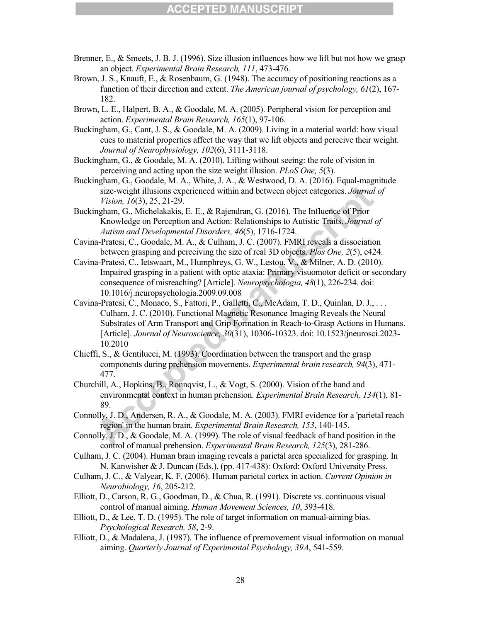- Brenner, E., & Smeets, J. B. J. (1996). Size illusion influences how we lift but not how we grasp an object. *Experimental Brain Research, 111*, 473-476.
- Brown, J. S., Knauft, E., & Rosenbaum, G. (1948). The accuracy of positioning reactions as a function of their direction and extent. *The American journal of psychology, 61*(2), 167- 182.
- Brown, L. E., Halpert, B. A., & Goodale, M. A. (2005). Peripheral vision for perception and action. *Experimental Brain Research, 165*(1), 97-106.
- Buckingham, G., Cant, J. S., & Goodale, M. A. (2009). Living in a material world: how visual cues to material properties affect the way that we lift objects and perceive their weight. *Journal of Neurophysiology, 102*(6), 3111-3118.
- Buckingham, G., & Goodale, M. A. (2010). Lifting without seeing: the role of vision in perceiving and acting upon the size weight illusion. *PLoS One, 5*(3).
- Buckingham, G., Goodale, M. A., White, J. A., & Westwood, D. A. (2016). Equal-magnitude size-weight illusions experienced within and between object categories. *Journal of Vision, 16*(3), 25, 21-29.
- Buckingham, G., Michelakakis, E. E., & Rajendran, G. (2016). The Influence of Prior Knowledge on Perception and Action: Relationships to Autistic Traits. *Journal of Autism and Developmental Disorders, 46*(5), 1716-1724.
- Cavina-Pratesi, C., Goodale, M. A., & Culham, J. C. (2007). FMRI reveals a dissociation between grasping and perceiving the size of real 3D objects. *Plos One, 2*(5), e424.
- Cavina-Pratesi, C., Ietswaart, M., Humphreys, G. W., Lestou, V., & Milner, A. D. (2010). Impaired grasping in a patient with optic ataxia: Primary visuomotor deficit or secondary consequence of misreaching? [Article]. *Neuropsychologia, 48*(1), 226-234. doi: 10.1016/j.neuropsychologia.2009.09.008
- Cavina-Pratesi, C., Monaco, S., Fattori, P., Galletti, C., McAdam, T. D., Quinlan, D. J., . . . Culham, J. C. (2010). Functional Magnetic Resonance Imaging Reveals the Neural Substrates of Arm Transport and Grip Formation in Reach-to-Grasp Actions in Humans. [Article]. *Journal of Neuroscience, 30*(31), 10306-10323. doi: 10.1523/jneurosci.2023- 10.2010
- Chieffi, S., & Gentilucci, M. (1993). Coordination between the transport and the grasp components during prehension movements. *Experimental brain research, 94*(3), 471- 477.
- Churchill, A., Hopkins, B., Ronnqvist, L., & Vogt, S. (2000). Vision of the hand and environmental context in human prehension. *Experimental Brain Research, 134*(1), 81- 89.
- Connolly, J. D., Andersen, R. A., & Goodale, M. A. (2003). FMRI evidence for a 'parietal reach region' in the human brain. *Experimental Brain Research, 153*, 140-145.
- Connolly, J. D., & Goodale, M. A. (1999). The role of visual feedback of hand position in the control of manual prehension. *Experimental Brain Research, 125*(3), 281-286.
- Culham, J. C. (2004). Human brain imaging reveals a parietal area specialized for grasping. In N. Kanwisher & J. Duncan (Eds.), (pp. 417-438): Oxford: Oxford University Press.
- Culham, J. C., & Valyear, K. F. (2006). Human parietal cortex in action. *Current Opinion in Neurobiology, 16*, 205-212.
- Elliott, D., Carson, R. G., Goodman, D., & Chua, R. (1991). Discrete vs. continuous visual control of manual aiming. *Human Movement Sciences, 10*, 393-418.
- Elliott, D., & Lee, T. D. (1995). The role of target information on manual-aiming bias. *Psychological Research, 58*, 2-9.
- Elliott, D., & Madalena, J. (1987). The influence of premovement visual information on manual aiming. *Quarterly Journal of Experimental Psychology, 39A*, 541-559.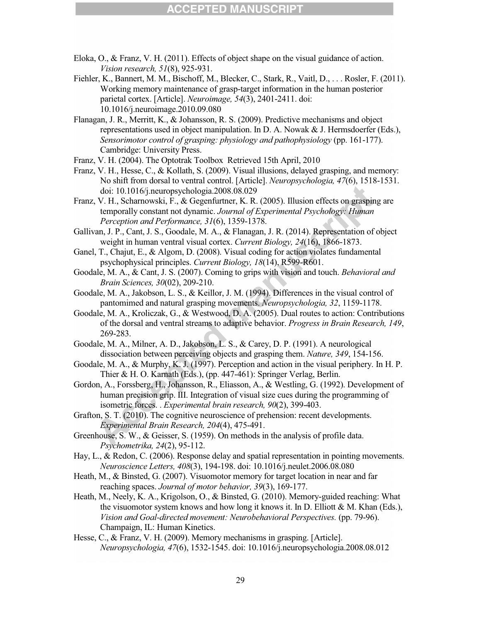- Eloka, O., & Franz, V. H. (2011). Effects of object shape on the visual guidance of action. *Vision research, 51*(8), 925-931.
- Fiehler, K., Bannert, M. M., Bischoff, M., Blecker, C., Stark, R., Vaitl, D., . . . Rosler, F. (2011). Working memory maintenance of grasp-target information in the human posterior parietal cortex. [Article]. *Neuroimage, 54*(3), 2401-2411. doi: 10.1016/j.neuroimage.2010.09.080
- Flanagan, J. R., Merritt, K., & Johansson, R. S. (2009). Predictive mechanisms and object representations used in object manipulation. In D. A. Nowak & J. Hermsdoerfer (Eds.), *Sensorimotor control of grasping: physiology and pathophysiology* (pp. 161-177). Cambridge: University Press.
- Franz, V. H. (2004). The Optotrak Toolbox Retrieved 15th April, 2010
- Franz, V. H., Hesse, C., & Kollath, S. (2009). Visual illusions, delayed grasping, and memory: No shift from dorsal to ventral control. [Article]. *Neuropsychologia, 47*(6), 1518-1531. doi: 10.1016/j.neuropsychologia.2008.08.029
- Franz, V. H., Scharnowski, F., & Gegenfurtner, K. R. (2005). Illusion effects on grasping are temporally constant not dynamic. *Journal of Experimental Psychology: Human Perception and Performance, 31*(6), 1359-1378.
- Gallivan, J. P., Cant, J. S., Goodale, M. A., & Flanagan, J. R. (2014). Representation of object weight in human ventral visual cortex. *Current Biology, 24*(16), 1866-1873.
- Ganel, T., Chajut, E., & Algom, D. (2008). Visual coding for action violates fundamental psychophysical principles. *Current Biology, 18*(14), R599-R601.
- Goodale, M. A., & Cant, J. S. (2007). Coming to grips with vision and touch. *Behavioral and Brain Sciences, 30*(02), 209-210.
- Goodale, M. A., Jakobson, L. S., & Keillor, J. M. (1994). Differences in the visual control of pantomimed and natural grasping movements. *Neuropsychologia, 32*, 1159-1178.
- Goodale, M. A., Kroliczak, G., & Westwood, D. A. (2005). Dual routes to action: Contributions of the dorsal and ventral streams to adaptive behavior. *Progress in Brain Research, 149*, 269-283.
- Goodale, M. A., Milner, A. D., Jakobson, L. S., & Carey, D. P. (1991). A neurological dissociation between perceiving objects and grasping them. *Nature, 349*, 154-156.
- Goodale, M. A., & Murphy, K. J. (1997). Perception and action in the visual periphery. In H. P. Thier & H. O. Karnath (Eds.), (pp. 447-461): Springer Verlag, Berlin.
- Gordon, A., Forssberg, H., Johansson, R., Eliasson, A., & Westling, G. (1992). Development of human precision grip. III. Integration of visual size cues during the programming of isometric forces. . *Experimental brain research, 90*(2), 399-403.
- Grafton, S. T. (2010). The cognitive neuroscience of prehension: recent developments. *Experimental Brain Research, 204*(4), 475-491.
- Greenhouse, S. W., & Geisser, S. (1959). On methods in the analysis of profile data. *Psychometrika, 24*(2), 95-112.
- Hay, L., & Redon, C. (2006). Response delay and spatial representation in pointing movements. *Neuroscience Letters, 408*(3), 194-198. doi: 10.1016/j.neulet.2006.08.080
- Heath, M., & Binsted, G. (2007). Visuomotor memory for target location in near and far reaching spaces. *Journal of motor behavior, 39*(3), 169-177.
- Heath, M., Neely, K. A., Krigolson, O., & Binsted, G. (2010). Memory-guided reaching: What the visuomotor system knows and how long it knows it. In D. Elliott & M. Khan (Eds.), *Vision and Goal-directed movement: Neurobehavioral Perspectives.* (pp. 79-96). Champaign, IL: Human Kinetics.
- Hesse, C., & Franz, V. H. (2009). Memory mechanisms in grasping. [Article]. *Neuropsychologia, 47*(6), 1532-1545. doi: 10.1016/j.neuropsychologia.2008.08.012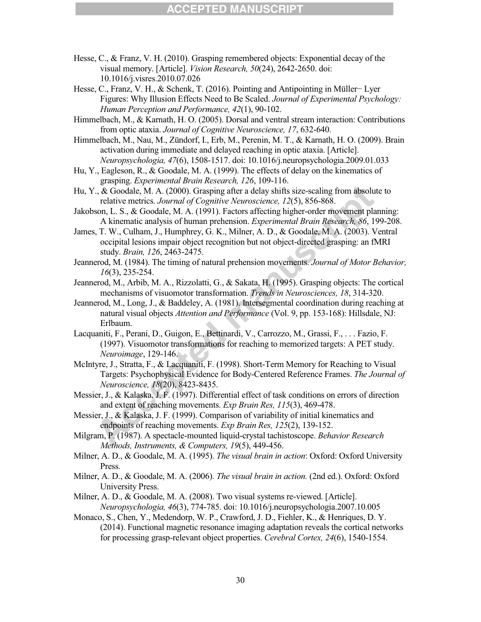- Hesse, C., & Franz, V. H. (2010). Grasping remembered objects: Exponential decay of the visual memory. [Article]. *Vision Research, 50*(24), 2642-2650. doi: 10.1016/j.visres.2010.07.026
- Hesse, C., Franz, V. H., & Schenk, T. (2016). Pointing and Antipointing in Müller− Lyer Figures: Why Illusion Effects Need to Be Scaled. *Journal of Experimental Psychology: Human Perception and Performance, 42*(1), 90-102.
- Himmelbach, M., & Karnath, H. O. (2005). Dorsal and ventral stream interaction: Contributions from optic ataxia. *Journal of Cognitive Neuroscience, 17*, 632-640.
- Himmelbach, M., Nau, M., Zündorf, I., Erb, M., Perenin, M. T., & Karnath, H. O. (2009). Brain activation during immediate and delayed reaching in optic ataxia. [Article]. *Neuropsychologia, 47*(6), 1508-1517. doi: 10.1016/j.neuropsychologia.2009.01.033
- Hu, Y., Eagleson, R., & Goodale, M. A. (1999). The effects of delay on the kinematics of grasping. *Experimental Brain Research, 126*, 109-116.
- Hu, Y., & Goodale, M. A. (2000). Grasping after a delay shifts size-scaling from absolute to relative metrics. *Journal of Cognitive Neuroscience, 12*(5), 856-868.
- Jakobson, L. S., & Goodale, M. A. (1991). Factors affecting higher-order movement planning: A kinematic analysis of human prehension. *Experimental Brain Research, 86*, 199-208.
- James, T. W., Culham, J., Humphrey, G. K., Milner, A. D., & Goodale, M. A. (2003). Ventral occipital lesions impair object recognition but not object-directed grasping: an fMRI study. *Brain, 126*, 2463-2475.
- Jeannerod, M. (1984). The timing of natural prehension movements. *Journal of Motor Behavior, 16*(3), 235-254.
- Jeannerod, M., Arbib, M. A., Rizzolatti, G., & Sakata, H. (1995). Grasping objects: The cortical mechanisms of visuomotor transformation. *Trends in Neurosciences, 18*, 314-320.
- Jeannerod, M., Long, J., & Baddeley, A. (1981). Intersegmental coordination during reaching at natural visual objects *Attention and Performance* (Vol. 9, pp. 153-168): Hillsdale, NJ: Erlbaum.
- Lacquaniti, F., Perani, D., Guigon, E., Bettinardi, V., Carrozzo, M., Grassi, F., . . . Fazio, F. (1997). Visuomotor transformations for reaching to memorized targets: A PET study. *Neuroimage*, 129-146.
- McIntyre, J., Stratta, F., & Lacquaniti, F. (1998). Short-Term Memory for Reaching to Visual Targets: Psychophysical Evidence for Body-Centered Reference Frames. *The Journal of Neuroscience, 18*(20), 8423-8435.
- Messier, J., & Kalaska, J. F. (1997). Differential effect of task conditions on errors of direction and extent of reaching movements. *Exp Brain Res, 115*(3), 469-478.
- Messier, J., & Kalaska, J. F. (1999). Comparison of variability of initial kinematics and endpoints of reaching movements. *Exp Brain Res, 125*(2), 139-152.
- Milgram, P. (1987). A spectacle-mounted liquid-crystal tachistoscope. *Behavior Research Methods, Instruments, & Computers, 19*(5), 449-456.
- Milner, A. D., & Goodale, M. A. (1995). *The visual brain in action*: Oxford: Oxford University Press.
- Milner, A. D., & Goodale, M. A. (2006). *The visual brain in action.* (2nd ed.). Oxford: Oxford University Press.
- Milner, A. D., & Goodale, M. A. (2008). Two visual systems re-viewed. [Article]. *Neuropsychologia, 46*(3), 774-785. doi: 10.1016/j.neuropsychologia.2007.10.005
- Monaco, S., Chen, Y., Medendorp, W. P., Crawford, J. D., Fiehler, K., & Henriques, D. Y. (2014). Functional magnetic resonance imaging adaptation reveals the cortical networks for processing grasp-relevant object properties. *Cerebral Cortex, 24*(6), 1540-1554.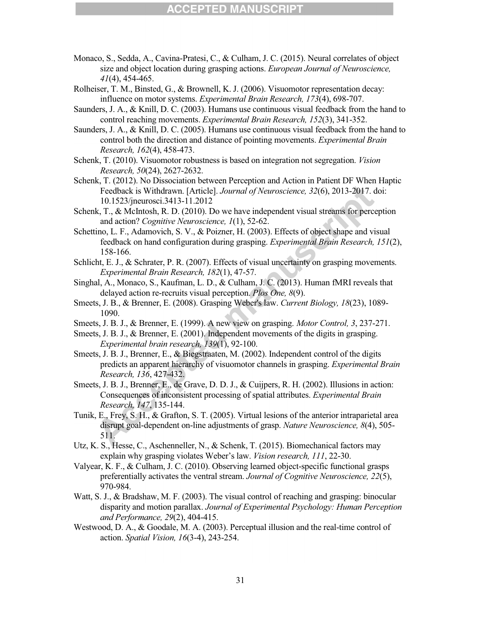- Monaco, S., Sedda, A., Cavina-Pratesi, C., & Culham, J. C. (2015). Neural correlates of object size and object location during grasping actions. *European Journal of Neuroscience, 41*(4), 454-465.
- Rolheiser, T. M., Binsted, G., & Brownell, K. J. (2006). Visuomotor representation decay: influence on motor systems. *Experimental Brain Research, 173*(4), 698-707.
- Saunders, J. A., & Knill, D. C. (2003). Humans use continuous visual feedback from the hand to control reaching movements. *Experimental Brain Research, 152*(3), 341-352.
- Saunders, J. A., & Knill, D. C. (2005). Humans use continuous visual feedback from the hand to control both the direction and distance of pointing movements. *Experimental Brain Research, 162*(4), 458-473.
- Schenk, T. (2010). Visuomotor robustness is based on integration not segregation. *Vision Research, 50*(24), 2627-2632.
- Schenk, T. (2012). No Dissociation between Perception and Action in Patient DF When Haptic Feedback is Withdrawn. [Article]. *Journal of Neuroscience, 32*(6), 2013-2017. doi: 10.1523/jneurosci.3413-11.2012
- Schenk, T., & McIntosh, R. D. (2010). Do we have independent visual streams for perception and action? *Cognitive Neuroscience, 1*(1), 52-62.
- Schettino, L. F., Adamovich, S. V., & Poizner, H. (2003). Effects of object shape and visual feedback on hand configuration during grasping. *Experimental Brain Research, 151*(2), 158-166.
- Schlicht, E. J., & Schrater, P. R. (2007). Effects of visual uncertainty on grasping movements. *Experimental Brain Research, 182*(1), 47-57.
- Singhal, A., Monaco, S., Kaufman, L. D., & Culham, J. C. (2013). Human fMRI reveals that delayed action re-recruits visual perception. *Plos One, 8*(9).
- Smeets, J. B., & Brenner, E. (2008). Grasping Weber's law. *Current Biology, 18*(23), 1089- 1090.
- Smeets, J. B. J., & Brenner, E. (1999). A new view on grasping. *Motor Control, 3*, 237-271.
- Smeets, J. B. J., & Brenner, E. (2001). Independent movements of the digits in grasping. *Experimental brain research, 139*(1), 92-100.
- Smeets, J. B. J., Brenner, E., & Biegstraaten, M. (2002). Independent control of the digits predicts an apparent hierarchy of visuomotor channels in grasping. *Experimental Brain Research, 136*, 427-432.
- Smeets, J. B. J., Brenner, E., de Grave, D. D. J., & Cuijpers, R. H. (2002). Illusions in action: Consequences of inconsistent processing of spatial attributes. *Experimental Brain Research, 147*, 135-144.
- Tunik, E., Frey, S. H., & Grafton, S. T. (2005). Virtual lesions of the anterior intraparietal area disrupt goal-dependent on-line adjustments of grasp. *Nature Neuroscience, 8*(4), 505- 511.
- Utz, K. S., Hesse, C., Aschenneller, N., & Schenk, T. (2015). Biomechanical factors may explain why grasping violates Weber's law. *Vision research, 111*, 22-30.
- Valyear, K. F., & Culham, J. C. (2010). Observing learned object-specific functional grasps preferentially activates the ventral stream. *Journal of Cognitive Neuroscience, 22*(5), 970-984.
- Watt, S. J., & Bradshaw, M. F. (2003). The visual control of reaching and grasping: binocular disparity and motion parallax. *Journal of Experimental Psychology: Human Perception and Performance, 29*(2), 404-415.
- Westwood, D. A., & Goodale, M. A. (2003). Perceptual illusion and the real-time control of action. *Spatial Vision, 16*(3-4), 243-254.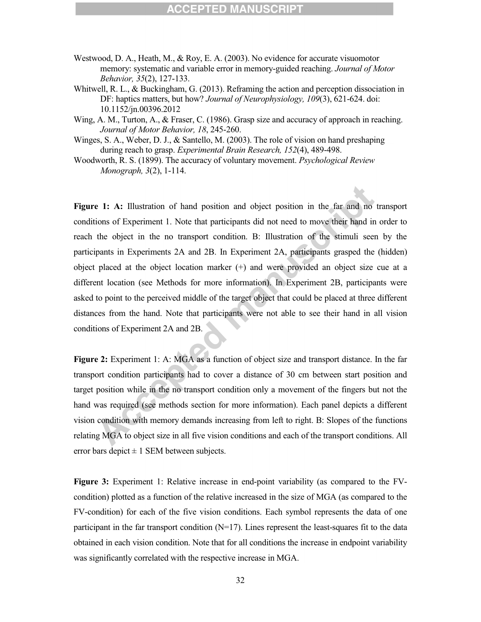- Westwood, D. A., Heath, M., & Roy, E. A. (2003). No evidence for accurate visuomotor memory: systematic and variable error in memory-guided reaching. *Journal of Motor Behavior, 35*(2), 127-133.
- Whitwell, R. L., & Buckingham, G. (2013). Reframing the action and perception dissociation in DF: haptics matters, but how? *Journal of Neurophysiology, 109*(3), 621-624. doi: 10.1152/jn.00396.2012
- Wing, A. M., Turton, A., & Fraser, C. (1986). Grasp size and accuracy of approach in reaching. *Journal of Motor Behavior, 18*, 245-260.
- Winges, S. A., Weber, D. J., & Santello, M. (2003). The role of vision on hand preshaping during reach to grasp. *Experimental Brain Research, 152*(4), 489-498.
- Woodworth, R. S. (1899). The accuracy of voluntary movement. *Psychological Review Monograph, 3*(2), 1-114.

**Figure 1: A:** Illustration of hand position and object position in the far and no transport conditions of Experiment 1. Note that participants did not need to move their hand in order to reach the object in the no transport condition. B: Illustration of the stimuli seen by the participants in Experiments 2A and 2B. In Experiment 2A, participants grasped the (hidden) object placed at the object location marker (+) and were provided an object size cue at a different location (see Methods for more information). In Experiment 2B, participants were asked to point to the perceived middle of the target object that could be placed at three different distances from the hand. Note that participants were not able to see their hand in all vision conditions of Experiment 2A and 2B.

**Figure 2:** Experiment 1: A: MGA as a function of object size and transport distance. In the far transport condition participants had to cover a distance of 30 cm between start position and target position while in the no transport condition only a movement of the fingers but not the hand was required (see methods section for more information). Each panel depicts a different vision condition with memory demands increasing from left to right. B: Slopes of the functions relating MGA to object size in all five vision conditions and each of the transport conditions. All error bars depict  $\pm$  1 SEM between subjects.

**Figure 3:** Experiment 1: Relative increase in end-point variability (as compared to the FVcondition) plotted as a function of the relative increased in the size of MGA (as compared to the FV-condition) for each of the five vision conditions. Each symbol represents the data of one participant in the far transport condition  $(N=17)$ . Lines represent the least-squares fit to the data obtained in each vision condition. Note that for all conditions the increase in endpoint variability was significantly correlated with the respective increase in MGA.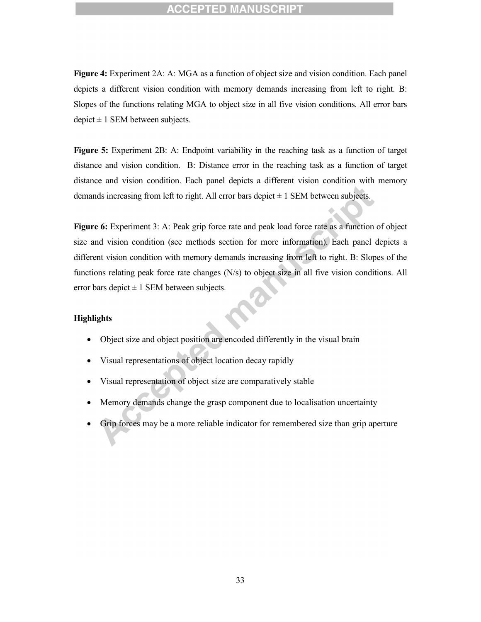**Figure 4:** Experiment 2A: A: MGA as a function of object size and vision condition. Each panel depicts a different vision condition with memory demands increasing from left to right. B: Slopes of the functions relating MGA to object size in all five vision conditions. All error bars depict  $\pm$  1 SEM between subjects.

**Figure 5:** Experiment 2B: A: Endpoint variability in the reaching task as a function of target distance and vision condition. B: Distance error in the reaching task as a function of target distance and vision condition. Each panel depicts a different vision condition with memory demands increasing from left to right. All error bars depict  $\pm 1$  SEM between subjects.

**Figure 6:** Experiment 3: A: Peak grip force rate and peak load force rate as a function of object size and vision condition (see methods section for more information). Each panel depicts a different vision condition with memory demands increasing from left to right. B: Slopes of the functions relating peak force rate changes (N/s) to object size in all five vision conditions. All error bars depict  $\pm$  1 SEM between subjects.

#### **Highlights**

- Object size and object position are encoded differently in the visual brain
- Visual representations of object location decay rapidly
- · Visual representation of object size are comparatively stable
- Memory demands change the grasp component due to localisation uncertainty
- Grip forces may be a more reliable indicator for remembered size than grip aperture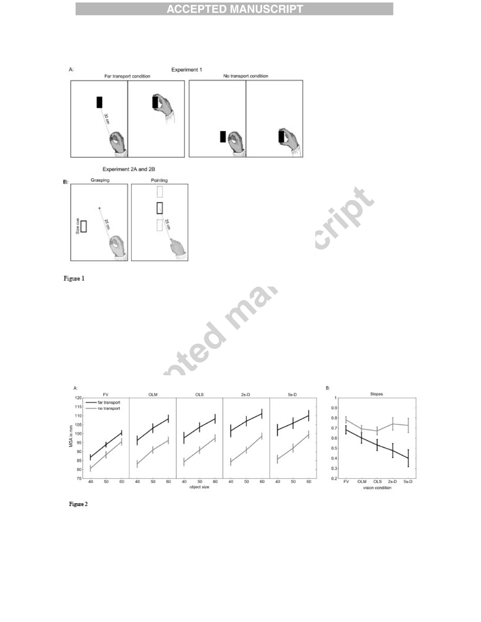

Figure 1





Figure 2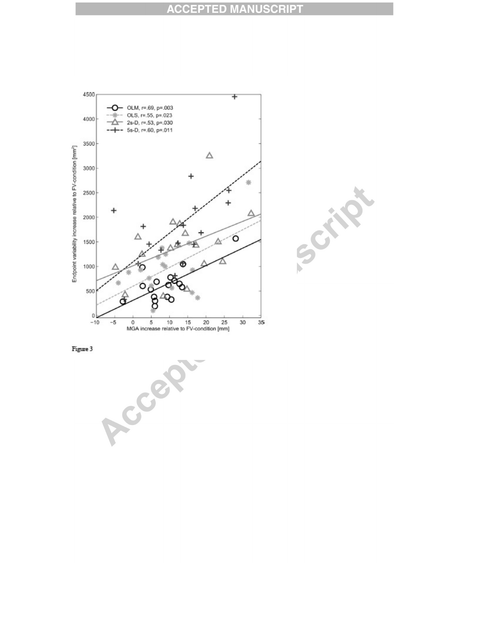



Figure 3

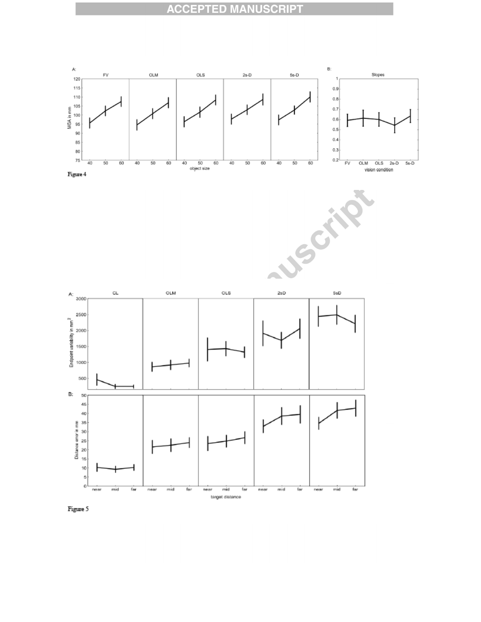